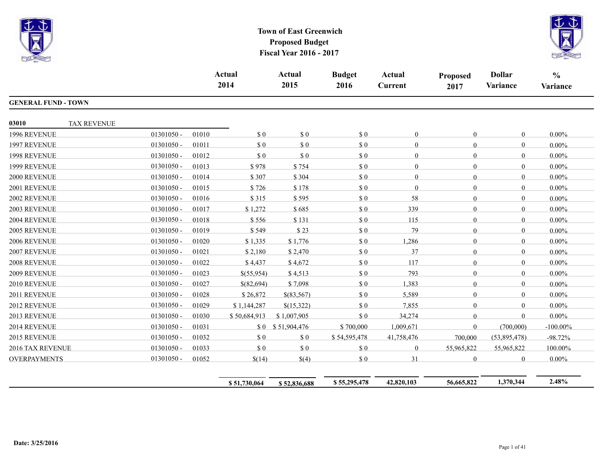



|                            |                    |              | Actual<br>2014 |              | <b>Actual</b><br>2015 | <b>Budget</b><br>2016       | Actual<br><b>Current</b> | <b>Proposed</b><br>2017 | <b>Dollar</b><br>Variance | $\frac{0}{0}$<br>Variance |
|----------------------------|--------------------|--------------|----------------|--------------|-----------------------|-----------------------------|--------------------------|-------------------------|---------------------------|---------------------------|
| <b>GENERAL FUND - TOWN</b> |                    |              |                |              |                       |                             |                          |                         |                           |                           |
| 03010                      | <b>TAX REVENUE</b> |              |                |              |                       |                             |                          |                         |                           |                           |
| 1996 REVENUE               |                    | $01301050 -$ | 01010          | \$0          | \$0                   | \$0                         | $\Omega$                 | $\theta$                | $\mathbf{0}$              | $0.00\%$                  |
| 1997 REVENUE               |                    | $01301050 -$ | 01011          | $\sqrt{3}0$  | \$0                   | \$0                         | 0                        | $\overline{0}$          | $\mathbf{0}$              | $0.00\%$                  |
| 1998 REVENUE               |                    | $01301050 -$ | 01012          | \$0          | \$0                   | \$0                         | $\Omega$                 | $\theta$                | $\boldsymbol{0}$          | $0.00\%$                  |
| 1999 REVENUE               |                    | $01301050 -$ | 01013          | \$978        | \$754                 | $\boldsymbol{\mathsf{S}}$ 0 | $\overline{0}$           | $\theta$                | $\mathbf{0}$              | $0.00\%$                  |
| 2000 REVENUE               |                    | $01301050 -$ | 01014          | \$307        | \$304                 | \$0                         | $\Omega$                 | $\theta$                | $\mathbf{0}$              | $0.00\%$                  |
| 2001 REVENUE               |                    | 01301050 -   | 01015          | \$726        | \$178                 | \$0                         | $\theta$                 | $\overline{0}$          | $\mathbf{0}$              | $0.00\%$                  |
| 2002 REVENUE               |                    | $01301050 -$ | 01016          | \$315        | \$595                 | \$0                         | 58                       | $\theta$                | $\mathbf{0}$              | $0.00\%$                  |
| 2003 REVENUE               |                    | $01301050 -$ | 01017          | \$1,272      | \$685                 | \$0                         | 339                      | $\overline{0}$          | $\mathbf{0}$              | $0.00\%$                  |
| 2004 REVENUE               |                    | $01301050 -$ | 01018          | \$556        | \$131                 | $\boldsymbol{\mathsf{S}}$ 0 | 115                      | $\overline{0}$          | $\mathbf{0}$              | $0.00\%$                  |
| 2005 REVENUE               |                    | $01301050 -$ | 01019          | \$549        | \$23                  | \$0                         | 79                       | $\theta$                | $\mathbf{0}$              | $0.00\%$                  |
| 2006 REVENUE               |                    | 01301050 -   | 01020          | \$1,335      | \$1,776               | \$0                         | 1,286                    | $\overline{0}$          | $\mathbf{0}$              | $0.00\%$                  |
| 2007 REVENUE               |                    | $01301050 -$ | 01021          | \$2,180      | \$2,470               | \$0                         | 37                       | $\theta$                | $\theta$                  | $0.00\%$                  |
| 2008 REVENUE               |                    | $01301050 -$ | 01022          | \$4,437      | \$4,672               | \$0                         | 117                      | $\overline{0}$          | $\mathbf{0}$              | $0.00\%$                  |
| 2009 REVENUE               |                    | 01301050 -   | 01023          | \$(55,954)   | \$4,513               | \$0                         | 793                      | $\overline{0}$          | $\boldsymbol{0}$          | $0.00\%$                  |
| 2010 REVENUE               |                    | $01301050 -$ | 01027          | \$(82,694)   | \$7,098               | \$0                         | 1,383                    | $\overline{0}$          | $\theta$                  | $0.00\%$                  |
| 2011 REVENUE               |                    | $01301050 -$ | 01028          | \$26,872     | \$(83,567)            | \$0                         | 5,589                    | $\theta$                | $\Omega$                  | $0.00\%$                  |
| 2012 REVENUE               |                    | 01301050 -   | 01029          | \$1,144,287  | \$(15,322)            | \$0                         | 7,855                    | $\overline{0}$          | $\mathbf{0}$              | $0.00\%$                  |
| 2013 REVENUE               |                    | $01301050 -$ | 01030          | \$50,684,913 | \$1,007,905           | \$0                         | 34,274                   | $\theta$                | $\mathbf{0}$              | $0.00\%$                  |
| 2014 REVENUE               |                    | $01301050 -$ | 01031          |              | \$0 \$51,904,476      | \$700,000                   | 1,009,671                | $\overline{0}$          | (700,000)                 | $-100.00\%$               |
| 2015 REVENUE               |                    | 01301050 -   | 01032          | \$0          | \$0                   | \$54,595,478                | 41,758,476               | 700,000                 | (53,895,478)              | $-98.72%$                 |
| 2016 TAX REVENUE           |                    | $01301050 -$ | 01033          | \$0          | $\sqrt{3}0$           | \$0                         | $\overline{0}$           | 55,965,822              | 55,965,822                | 100.00%                   |
| <b>OVERPAYMENTS</b>        |                    | $01301050 -$ | 01052          | \$(14)       | \$(4)                 | \$0                         | 31                       | $\theta$                | $\mathbf{0}$              | $0.00\%$                  |

**\$ 51,730,064 \$ 52,836,688 \$ 55,295,478 42,820,103 56,665,822 1,370,344 2.48%**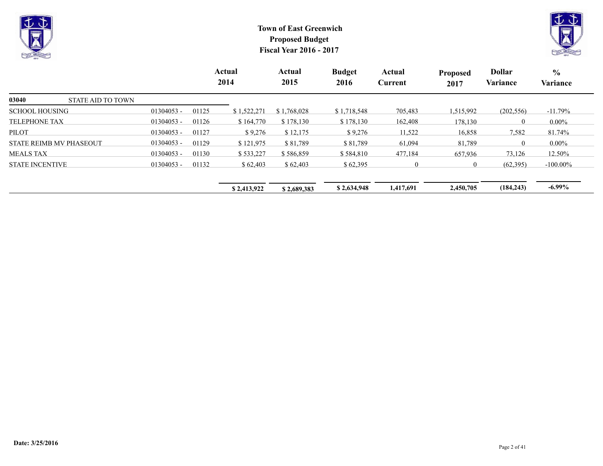



|                                   |              |       | Actual<br>2014 | Actual<br>2015 | <b>Budget</b><br>2016 | Actual<br>Current | <b>Proposed</b><br>2017 | <b>Dollar</b><br>Variance | $\frac{0}{0}$<br>Variance |
|-----------------------------------|--------------|-------|----------------|----------------|-----------------------|-------------------|-------------------------|---------------------------|---------------------------|
| 03040<br><b>STATE AID TO TOWN</b> |              |       |                |                |                       |                   |                         |                           |                           |
| <b>SCHOOL HOUSING</b>             | $01304053 -$ | 01125 | \$1,522,271    | \$1,768,028    | \$1,718,548           | 705,483           | 1,515,992               | (202, 556)                | $-11.79\%$                |
| <b>TELEPHONE TAX</b>              | 01304053 -   | 01126 | \$164,770      | \$178,130      | \$178,130             | 162,408           | 178,130                 | $\Omega$                  | $0.00\%$                  |
| <b>PILOT</b>                      | $01304053 -$ | 01127 | \$9,276        | \$12,175       | \$9,276               | 11,522            | 16,858                  | 7,582                     | 81.74%                    |
| <b>STATE REIMB MV PHASEOUT</b>    | 01304053 -   | 01129 | \$121,975      | \$81,789       | \$81,789              | 61,094            | 81,789                  | $\Omega$                  | $0.00\%$                  |
| <b>MEALS TAX</b>                  | $01304053 -$ | 01130 | \$533,227      | \$586,859      | \$584,810             | 477,184           | 657,936                 | 73,126                    | 12.50%                    |
| <b>STATE INCENTIVE</b>            | 01304053 -   | 01132 | \$62,403       | \$62,403       | \$62,395              | $\theta$          | $\overline{0}$          | (62,395)                  | $-100.00\%$               |
|                                   |              |       | \$2,413,922    | \$2,689,383    | \$2,634,948           | 1,417,691         | 2,450,705               | (184, 243)                | $-6.99\%$                 |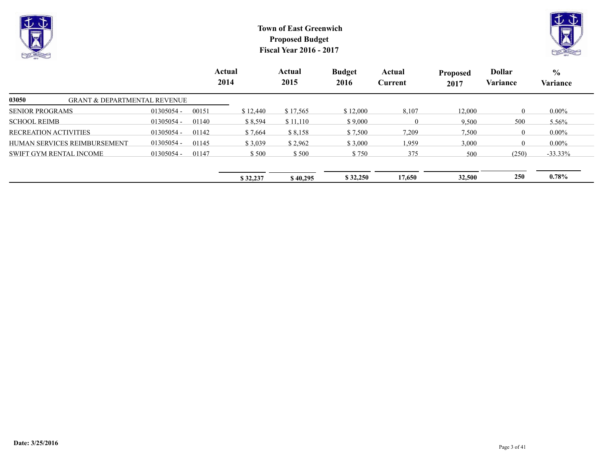



|                                                  |              |       | Actual<br>2014 | Actual<br>2015 | <b>Budget</b><br>2016 | Actual<br>Current | <b>Proposed</b><br>2017 | <b>Dollar</b><br>Variance | $\frac{6}{6}$<br>Variance |  |
|--------------------------------------------------|--------------|-------|----------------|----------------|-----------------------|-------------------|-------------------------|---------------------------|---------------------------|--|
| 03050<br><b>GRANT &amp; DEPARTMENTAL REVENUE</b> |              |       |                |                |                       |                   |                         |                           |                           |  |
| <b>SENIOR PROGRAMS</b>                           | $01305054 -$ | 00151 | \$12.440       | \$17,565       | \$12,000              | 8,107             | 12,000                  | $\Omega$                  | $0.00\%$                  |  |
| <b>SCHOOL REIMB</b>                              | $01305054 -$ | 01140 | \$8,594        | \$11,110       | \$9,000               | $\overline{0}$    | 9,500                   | 500                       | 5.56%                     |  |
| <b>RECREATION ACTIVITIES</b>                     | $01305054 -$ | 01142 | \$7,664        | \$8,158        | \$7,500               | 7,209             | 7,500                   | $\overline{0}$            | $0.00\%$                  |  |
| HUMAN SERVICES REIMBURSEMENT                     | $01305054 -$ | 01145 | \$3,039        | \$2,962        | \$3,000               | 1,959             | 3,000                   | $\Omega$                  | $0.00\%$                  |  |
| <b>SWIFT GYM RENTAL INCOME</b>                   | $01305054 -$ | 01147 | \$500          | \$500          | \$750                 | 375               | 500                     | (250)                     | $-33.33\%$                |  |
|                                                  |              |       | \$32,237       | \$40,295       | \$32,250              | 17,650            | 32,500                  | <b>250</b>                | $0.78\%$                  |  |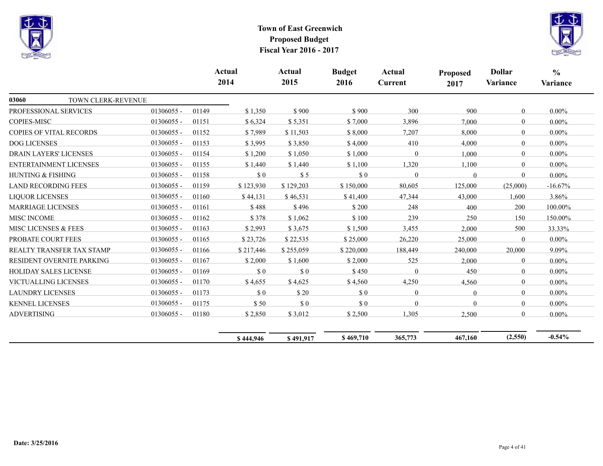



|                                |                           |              |       | <b>Actual</b><br>2014 | <b>Actual</b><br>2015 | <b>Budget</b><br>2016 | Actual<br><b>Current</b> | <b>Proposed</b><br>2017 | <b>Dollar</b><br>Variance | $\frac{0}{0}$<br>Variance |
|--------------------------------|---------------------------|--------------|-------|-----------------------|-----------------------|-----------------------|--------------------------|-------------------------|---------------------------|---------------------------|
| 03060                          | TOWN CLERK-REVENUE        |              |       |                       |                       |                       |                          |                         |                           |                           |
| PROFESSIONAL SERVICES          |                           | 01306055 -   | 01149 | \$1,350               | \$900                 | \$900                 | 300                      | 900                     | $\mathbf{0}$              | $0.00\%$                  |
| <b>COPIES-MISC</b>             |                           | 01306055 -   | 01151 | \$6,324               | \$5,351               | \$7,000               | 3,896                    | 7,000                   | $\overline{0}$            | $0.00\%$                  |
| <b>COPIES OF VITAL RECORDS</b> |                           | 01306055 -   | 01152 | \$7,989               | \$11,503              | \$8,000               | 7,207                    | 8,000                   | $\mathbf{0}$              | $0.00\%$                  |
| <b>DOG LICENSES</b>            |                           | 01306055 -   | 01153 | \$3,995               | \$3,850               | \$4,000               | 410                      | 4,000                   | $\mathbf{0}$              | $0.00\%$                  |
| <b>DRAIN LAYERS' LICENSES</b>  |                           | 01306055 -   | 01154 | \$1,200               | \$1,050               | \$1,000               | $\Omega$                 | 1,000                   | $\mathbf{0}$              | $0.00\%$                  |
| <b>ENTERTAINMENT LICENSES</b>  |                           | $01306055 -$ | 01155 | \$1,440               | \$1,440               | \$1,100               | 1,320                    | 1,100                   | $\mathbf{0}$              | $0.00\%$                  |
| HUNTING & FISHING              |                           | 01306055 -   | 01158 | \$0                   | \$5                   | $\Omega$              | $\theta$                 | $\Omega$                | $\theta$                  | $0.00\%$                  |
| <b>LAND RECORDING FEES</b>     |                           | 01306055 -   | 01159 | \$123,930             | \$129,203             | \$150,000             | 80,605                   | 125,000                 | (25,000)                  | $-16.67%$                 |
| <b>LIQUOR LICENSES</b>         |                           | $01306055 -$ | 01160 | \$44,131              | \$46,531              | \$41,400              | 47,344                   | 43,000                  | 1,600                     | 3.86%                     |
| <b>MARRIAGE LICENSES</b>       |                           | $01306055 -$ | 01161 | \$488                 | \$496                 | \$200                 | 248                      | 400                     | 200                       | 100.00%                   |
| <b>MISC INCOME</b>             |                           | $01306055 -$ | 01162 | \$378                 | \$1,062               | \$100                 | 239                      | 250                     | 150                       | 150.00%                   |
| MISC LICENSES & FEES           |                           | 01306055 -   | 01163 | \$2,993               | \$3,675               | \$1,500               | 3,455                    | 2,000                   | 500                       | 33.33%                    |
| PROBATE COURT FEES             |                           | 01306055 -   | 01165 | \$23,726              | \$22,535              | \$25,000              | 26,220                   | 25,000                  | $\theta$                  | $0.00\%$                  |
|                                | REALTY TRANSFER TAX STAMP | 01306055 -   | 01166 | \$217,446             | \$255,059             | \$220,000             | 188,449                  | 240,000                 | 20,000                    | 9.09%                     |
|                                | RESIDENT OVERNITE PARKING | 01306055 -   | 01167 | \$2,000               | \$1,600               | \$2,000               | 525                      | 2.000                   | $\mathbf{0}$              | $0.00\%$                  |
| <b>HOLIDAY SALES LICENSE</b>   |                           | 01306055 -   | 01169 | \$0                   | \$0                   | \$450                 | $\Omega$                 | 450                     | $\mathbf{0}$              | $0.00\%$                  |
| VICTUALLING LICENSES           |                           | 01306055 -   | 01170 | \$4,655               | \$4,625               | \$4,560               | 4,250                    | 4,560                   | $\overline{0}$            | $0.00\%$                  |
| <b>LAUNDRY LICENSES</b>        |                           | 01306055 -   | 01173 | $\$$ $0$              | \$20                  | \$0                   | $\overline{0}$           | $\Omega$                | $\mathbf{0}$              | $0.00\%$                  |
| <b>KENNEL LICENSES</b>         |                           | $01306055 -$ | 01175 | \$50                  | \$0                   | \$0                   | $\Omega$                 | $\Omega$                | $\mathbf{0}$              | $0.00\%$                  |
| <b>ADVERTISING</b>             |                           | 01306055 -   | 01180 | \$2,850               | \$3,012               | \$2,500               | 1,305                    | 2,500                   | $\mathbf{0}$              | $0.00\%$                  |
|                                |                           |              |       | \$444,946             | \$491,917             | \$469,710             | 365,773                  | 467,160                 | (2,550)                   | $-0.54%$                  |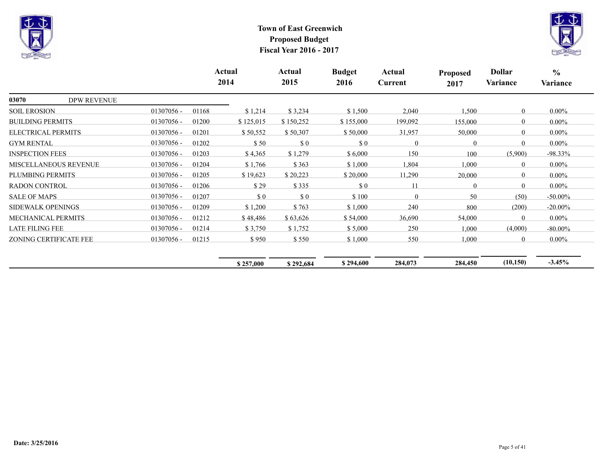



|                              |                    |              |       | Actual<br>2014 | Actual<br>2015 | <b>Budget</b><br>2016 | Actual<br>Current | <b>Proposed</b><br>2017 | <b>Dollar</b><br>Variance | $\frac{0}{0}$<br>Variance |
|------------------------------|--------------------|--------------|-------|----------------|----------------|-----------------------|-------------------|-------------------------|---------------------------|---------------------------|
| 03070                        | <b>DPW REVENUE</b> |              |       |                |                |                       |                   |                         |                           |                           |
| <b>SOIL EROSION</b>          |                    | 01307056 -   | 01168 | \$1,214        | \$3,234        | \$1,500               | 2,040             | 1,500                   | $\mathbf{0}$              | $0.00\%$                  |
| <b>BUILDING PERMITS</b>      |                    | 01307056 -   | 01200 | \$125,015      | \$150,252      | \$155,000             | 199,092           | 155,000                 | $\Omega$                  | $0.00\%$                  |
| ELECTRICAL PERMITS           |                    | $01307056 -$ | 01201 | \$50,552       | \$50,307       | \$50,000              | 31,957            | 50,000                  | $\Omega$                  | $0.00\%$                  |
| <b>GYM RENTAL</b>            |                    | 01307056 -   | 01202 | \$50           | \$0            | $\Omega$              | 0                 | $\theta$                | $\Omega$                  | $0.00\%$                  |
| <b>INSPECTION FEES</b>       |                    | $01307056 -$ | 01203 | \$4,365        | \$1,279        | \$6,000               | 150               | 100                     | (5,900)                   | $-98.33\%$                |
| <b>MISCELLANEOUS REVENUE</b> |                    | 01307056 -   | 01204 | \$1,766        | \$363          | \$1,000               | 1,804             | 1,000                   | $\mathbf{0}$              | $0.00\%$                  |
| PLUMBING PERMITS             |                    | 01307056 -   | 01205 | \$19,623       | \$20,223       | \$20,000              | 11,290            | 20,000                  | $\mathbf{0}$              | $0.00\%$                  |
| <b>RADON CONTROL</b>         |                    | $01307056 -$ | 01206 | \$29           | \$335          | \$0                   | 11                | $\mathbf{0}$            | $\mathbf{0}$              | $0.00\%$                  |
| <b>SALE OF MAPS</b>          |                    | $01307056 -$ | 01207 | \$0            | \$0            | \$100                 | $\Omega$          | 50                      | (50)                      | $-50.00\%$                |
| <b>SIDEWALK OPENINGS</b>     |                    | 01307056 -   | 01209 | \$1,200        | \$763          | \$1,000               | 240               | 800                     | (200)                     | $-20.00\%$                |
| MECHANICAL PERMITS           |                    | 01307056 -   | 01212 | \$48,486       | \$63,626       | \$54,000              | 36,690            | 54,000                  | $\theta$                  | $0.00\%$                  |
| <b>LATE FILING FEE</b>       |                    | 01307056 -   | 01214 | \$3,750        | \$1,752        | \$5,000               | 250               | 1,000                   | (4,000)                   | $-80.00\%$                |
| ZONING CERTIFICATE FEE       |                    | 01307056 -   | 01215 | \$950          | \$550          | \$1,000               | 550               | 1,000                   | $\theta$                  | $0.00\%$                  |
|                              |                    |              |       | \$257,000      | \$292,684      | \$294,600             | 284,073           | 284,450                 | (10, 150)                 | $-3.45%$                  |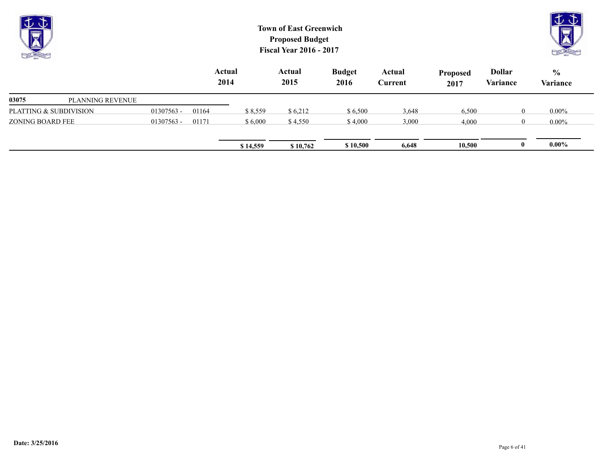| $\overline{\nabla}$<br><b>CATH LIKE CAN</b> |              |                | <b>Town of East Greenwich</b><br><b>Proposed Budget</b><br><b>Fiscal Year 2016 - 2017</b> |                |                       |                   |                         |                           | $\mathbb{U} \mathbb{G}$   |  |
|---------------------------------------------|--------------|----------------|-------------------------------------------------------------------------------------------|----------------|-----------------------|-------------------|-------------------------|---------------------------|---------------------------|--|
|                                             |              | Actual<br>2014 |                                                                                           | Actual<br>2015 | <b>Budget</b><br>2016 | Actual<br>Current | <b>Proposed</b><br>2017 | <b>Dollar</b><br>Variance | $\frac{6}{6}$<br>Variance |  |
| 03075<br>PLANNING REVENUE                   |              |                |                                                                                           |                |                       |                   |                         |                           |                           |  |
| PLATTING & SUBDIVISION                      | $01307563 -$ | 01164          | \$8,559                                                                                   | \$6,212        | \$6,500               | 3,648             | 6,500                   | $\theta$                  | $0.00\%$                  |  |
| ZONING BOARD FEE                            | $01307563 -$ | 01171          | \$6,000                                                                                   | \$4,550        | \$4,000               | 3,000             | 4,000                   | $\theta$                  | $0.00\%$                  |  |

**\$14,559 \$10,762 \$10,500 6,648 10,500 0 0.00%**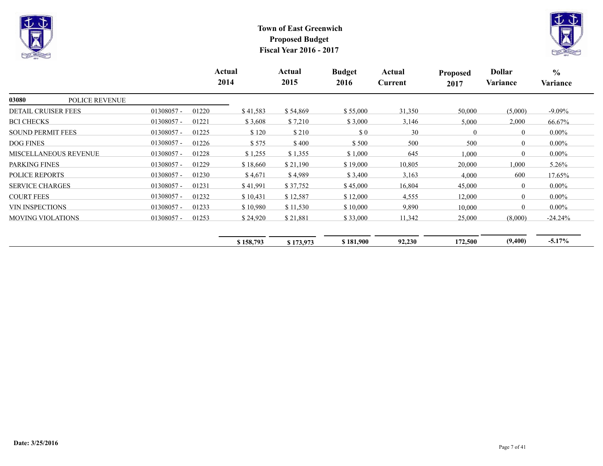



|                                |              |       | Actual<br>2014 | Actual<br>2015 | <b>Budget</b><br>2016       | Actual<br>Current | Proposed<br>2017 | Dollar<br>Variance | $\frac{0}{0}$<br>Variance |
|--------------------------------|--------------|-------|----------------|----------------|-----------------------------|-------------------|------------------|--------------------|---------------------------|
| 03080<br><b>POLICE REVENUE</b> |              |       |                |                |                             |                   |                  |                    |                           |
| <b>DETAIL CRUISER FEES</b>     | $01308057 -$ | 01220 | \$41,583       | \$54,869       | \$55,000                    | 31,350            | 50,000           | (5,000)            | $-9.09\%$                 |
| <b>BCI CHECKS</b>              | $01308057 -$ | 01221 | \$3,608        | \$7,210        | \$3,000                     | 3,146             | 5,000            | 2,000              | 66.67%                    |
| <b>SOUND PERMIT FEES</b>       | $01308057 -$ | 01225 | \$120          | \$210          | $\boldsymbol{\mathsf{S}}$ 0 | 30                | $\theta$         | $\mathbf{0}$       | $0.00\%$                  |
| <b>DOG FINES</b>               | 01308057 -   | 01226 | \$575          | \$400          | \$500                       | 500               | 500              | $\theta$           | $0.00\%$                  |
| <b>MISCELLANEOUS REVENUE</b>   | $01308057 -$ | 01228 | \$1,255        | \$1,355        | \$1,000                     | 645               | 1,000            | $\theta$           | $0.00\%$                  |
| PARKING FINES                  | $01308057 -$ | 01229 | \$18,660       | \$21,190       | \$19,000                    | 10,805            | 20,000           | 1,000              | 5.26%                     |
| <b>POLICE REPORTS</b>          | $01308057 -$ | 01230 | \$4,671        | \$4,989        | \$3,400                     | 3,163             | 4,000            | 600                | 17.65%                    |
| <b>SERVICE CHARGES</b>         | $01308057 -$ | 01231 | \$41,991       | \$37,752       | \$45,000                    | 16,804            | 45,000           | $\overline{0}$     | $0.00\%$                  |
| <b>COURT FEES</b>              | $01308057 -$ | 01232 | \$10,431       | \$12,587       | \$12,000                    | 4,555             | 12,000           | $\theta$           | $0.00\%$                  |
| <b>VIN INSPECTIONS</b>         | $01308057 -$ | 01233 | \$10,980       | \$11,530       | \$10,000                    | 9,890             | 10,000           | $\Omega$           | $0.00\%$                  |
| <b>MOVING VIOLATIONS</b>       | $01308057 -$ | 01253 | \$24,920       | \$21,881       | \$33,000                    | 11,342            | 25,000           | (8,000)            | $-24.24%$                 |
|                                |              |       | \$158,793      | \$173,973      | \$181,900                   | 92,230            | 172,500          | (9,400)            | $-5.17\%$                 |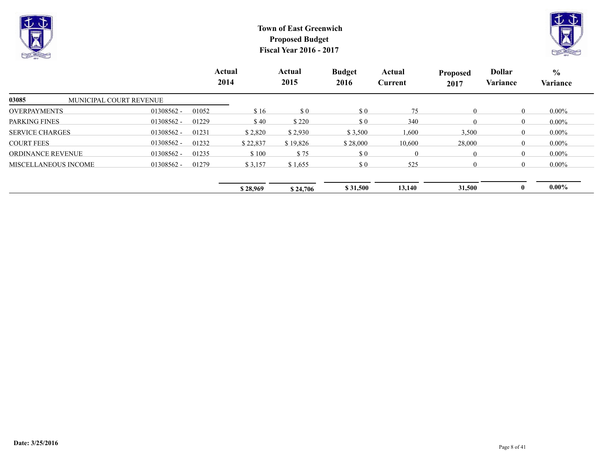



|                                  |              |       | Actual<br>2014 | Actual<br>2015 | <b>Budget</b><br>2016       | Actual<br>Current | <b>Proposed</b><br>2017 | <b>Dollar</b><br>Variance | $\frac{6}{9}$<br>Variance |
|----------------------------------|--------------|-------|----------------|----------------|-----------------------------|-------------------|-------------------------|---------------------------|---------------------------|
| 03085<br>MUNICIPAL COURT REVENUE |              |       |                |                |                             |                   |                         |                           |                           |
| <b>OVERPAYMENTS</b>              | 01308562 -   | 01052 | \$16           | $\sqrt{3}0$    | $\boldsymbol{\mathsf{S}}$ 0 | 75                | $\mathbf{0}$            | $\bf{0}$                  | $0.00\%$                  |
| <b>PARKING FINES</b>             | $01308562 -$ | 01229 | \$40           | \$220          | $\boldsymbol{\mathsf{S}}$ 0 | 340               | $\Omega$                | $\theta$                  | $0.00\%$                  |
| <b>SERVICE CHARGES</b>           | 01308562 -   | 01231 | \$2,820        | \$2,930        | \$3,500                     | ,600              | 3,500                   | $\bf{0}$                  | $0.00\%$                  |
| <b>COURT FEES</b>                | 01308562 -   | 01232 | \$22,837       | \$19,826       | \$28,000                    | 10,600            | 28,000                  | $\theta$                  | $0.00\%$                  |
| <b>ORDINANCE REVENUE</b>         | 01308562 -   | 01235 | \$100          | \$75           | $\boldsymbol{\mathsf{S}}$ 0 | $\mathbf{0}$      | $\mathbf{0}$            | $\theta$                  | $0.00\%$                  |
| MISCELLANEOUS INCOME             | 01308562 -   | 01279 | \$3,157        | \$1,655        | \$0                         | 525               | $\Omega$                | $\Omega$                  | $0.00\%$                  |
|                                  |              |       | \$28,969       | \$24,706       | \$31,500                    | 13,140            | 31,500                  |                           | $0.00\%$                  |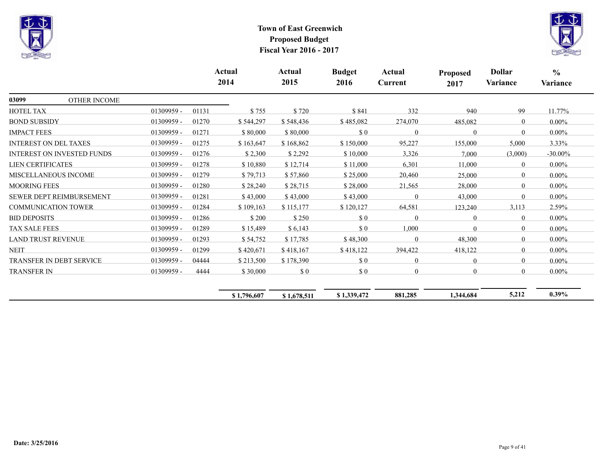



|                           |                                   |            |       | Actual<br>2014 | Actual<br>2015 | <b>Budget</b><br>2016 | Actual<br>Current | <b>Proposed</b><br>2017 | <b>Dollar</b><br>Variance | $\frac{0}{0}$<br>Variance |
|---------------------------|-----------------------------------|------------|-------|----------------|----------------|-----------------------|-------------------|-------------------------|---------------------------|---------------------------|
| 03099                     | OTHER INCOME                      |            |       |                |                |                       |                   |                         |                           |                           |
| HOTEL TAX                 |                                   | 01309959 - | 01131 | \$755          | \$720          | \$841                 | 332               | 940                     | 99                        | $11.77\%$                 |
| <b>BOND SUBSIDY</b>       |                                   | 01309959 - | 01270 | \$544,297      | \$548,436      | \$485,082             | 274,070           | 485,082                 | $\overline{0}$            | $0.00\%$                  |
| <b>IMPACT FEES</b>        |                                   | 01309959-  | 01271 | \$80,000       | \$80,000       | \$0                   | $\Omega$          | $\Omega$                | $\theta$                  | $0.00\%$                  |
|                           | <b>INTEREST ON DEL TAXES</b>      | 01309959 - | 01275 | \$163,647      | \$168,862      | \$150,000             | 95,227            | 155,000                 | 5,000                     | $3.33\%$                  |
|                           | <b>INTEREST ON INVESTED FUNDS</b> | 01309959 - | 01276 | \$2,300        | \$2,292        | \$10,000              | 3,326             | 7,000                   | (3,000)                   | $-30.00\%$                |
| <b>LIEN CERTIFICATES</b>  |                                   | 01309959 - | 01278 | \$10,880       | \$12,714       | \$11,000              | 6,301             | 11,000                  | $\theta$                  | $0.00\%$                  |
|                           | <b>MISCELLANEOUS INCOME</b>       | 01309959 - | 01279 | \$79,713       | \$57,860       | \$25,000              | 20,460            | 25,000                  | $\theta$                  | $0.00\%$                  |
| <b>MOORING FEES</b>       |                                   | 01309959 - | 01280 | \$28,240       | \$28,715       | \$28,000              | 21,565            | 28,000                  | $\Omega$                  | $0.00\%$                  |
|                           | <b>SEWER DEPT REIMBURSEMENT</b>   | 01309959 - | 01281 | \$43,000       | \$43,000       | \$43,000              | $\Omega$          | 43,000                  | $\Omega$                  | $0.00\%$                  |
|                           | <b>COMMUNICATION TOWER</b>        | 01309959 - | 01284 | \$109,163      | \$115,177      | \$120,127             | 64,581            | 123,240                 | 3,113                     | 2.59%                     |
| <b>BID DEPOSITS</b>       |                                   | 01309959 - | 01286 | \$200          | \$250          | \$0                   | $\Omega$          | $\theta$                | $\overline{0}$            | $0.00\%$                  |
| <b>TAX SALE FEES</b>      |                                   | 01309959 - | 01289 | \$15,489       | \$6,143        | \$0                   | 1,000             | $\Omega$                | $\overline{0}$            | $0.00\%$                  |
| <b>LAND TRUST REVENUE</b> |                                   | 01309959 - | 01293 | \$54,752       | \$17,785       | \$48,300              | $\Omega$          | 48,300                  | $\theta$                  | $0.00\%$                  |
| <b>NEIT</b>               |                                   | 01309959-  | 01299 | \$420,671      | \$418,167      | \$418,122             | 394,422           | 418,122                 | $\theta$                  | $0.00\%$                  |
|                           | <b>TRANSFER IN DEBT SERVICE</b>   | 01309959 - | 04444 | \$213,500      | \$178,390      | \$0                   | $\theta$          | $\theta$                | $\theta$                  | $0.00\%$                  |
| <b>TRANSFER IN</b>        |                                   | 01309959 - | 4444  | \$30,000       | $\$$ $0$       | \$0                   | $\overline{0}$    | $\Omega$                | $\overline{0}$            | $0.00\%$                  |
|                           |                                   |            |       | \$1,796,607    | \$1,678,511    | \$1,339,472           | 881,285           | 1,344,684               | 5,212                     | $0.39\%$                  |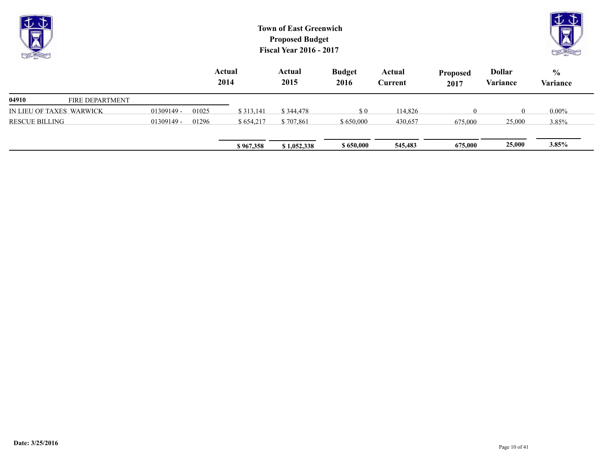| <b>Note</b><br><b>CALLER</b> |                        | <b>Town of East Greenwich</b><br><b>Proposed Budget</b><br><b>Fiscal Year 2016 - 2017</b><br>Actual |       |           |                |                       |                          |                         |                           |                           |  |  |
|------------------------------|------------------------|-----------------------------------------------------------------------------------------------------|-------|-----------|----------------|-----------------------|--------------------------|-------------------------|---------------------------|---------------------------|--|--|
|                              |                        |                                                                                                     |       | 2014      | Actual<br>2015 | <b>Budget</b><br>2016 | Actual<br><b>Current</b> | <b>Proposed</b><br>2017 | <b>Dollar</b><br>Variance | $\frac{6}{9}$<br>Variance |  |  |
| 04910                        | <b>FIRE DEPARTMENT</b> |                                                                                                     |       |           |                |                       |                          |                         |                           |                           |  |  |
| IN LIEU OF TAXES WARWICK     |                        | $01309149 -$                                                                                        | 01025 | \$313,141 | \$344,478      | $\sqrt{3}0$           | 114,826                  | $\theta$                | $\theta$                  | $0.00\%$                  |  |  |
| <b>RESCUE BILLING</b>        |                        | $01309149 -$                                                                                        | 01296 | \$654,217 | \$707,861      | \$650,000             | 430,657                  | 675,000                 | 25,000                    | 3.85%                     |  |  |
|                              |                        |                                                                                                     |       | \$967,358 | \$1,052,338    | \$650,000             | 545,483                  | 675,000                 | 25,000                    | 3.85%                     |  |  |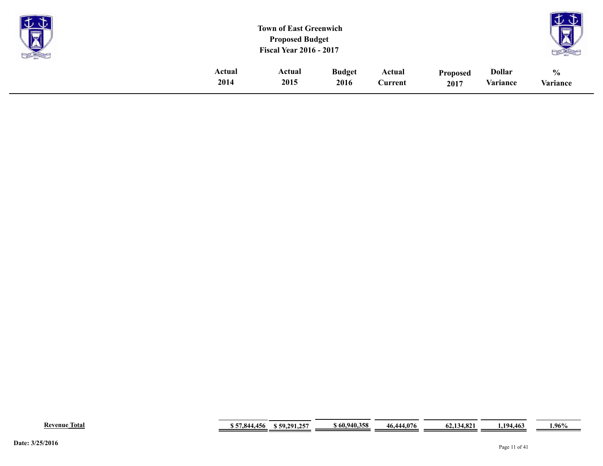| <b>Property</b><br>X |        | <b>Town of East Greenwich</b><br><b>Proposed Budget</b><br><b>Fiscal Year 2016 - 2017</b> |               |         |                 |               | $\sim$<br>- 31<br><b>STATISTICS</b><br><b>Contract</b><br><u>TAP</u> |
|----------------------|--------|-------------------------------------------------------------------------------------------|---------------|---------|-----------------|---------------|----------------------------------------------------------------------|
|                      | Actual | Actual                                                                                    | <b>Budget</b> | Actual  | <b>Proposed</b> | <b>Dollar</b> | $\frac{0}{0}$                                                        |
|                      | 2014   | 2015                                                                                      | 2016          | Current | 2017            | Variance      | Variance                                                             |

| Revenue<br>Total | .<br>X44<br>430<br>. <i>. .</i><br>$\cdot$ $\cdot$ | 59,291,257 و | 60.940.358 | 46.444.076 | 4. O.N<br>14.194.04 | 4.463<br>104 | $1.96\%$ |
|------------------|----------------------------------------------------|--------------|------------|------------|---------------------|--------------|----------|
|------------------|----------------------------------------------------|--------------|------------|------------|---------------------|--------------|----------|

**Contract Contract** 

÷.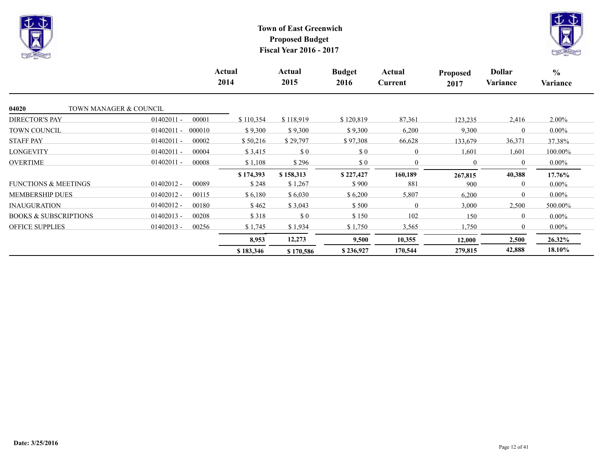



|                                  |                        | Actual<br>2014 | Actual<br>2015                                   | <b>Budget</b><br>2016                            | Actual<br>Current | Proposed<br>2017 | <b>Dollar</b><br>Variance | $\frac{6}{6}$<br>Variance |
|----------------------------------|------------------------|----------------|--------------------------------------------------|--------------------------------------------------|-------------------|------------------|---------------------------|---------------------------|
| 04020<br>TOWN MANAGER & COUNCIL  |                        |                |                                                  |                                                  |                   |                  |                           |                           |
| <b>DIRECTOR'S PAY</b>            | $01402011 -$<br>00001  | \$110,354      | \$118,919                                        | \$120,819                                        | 87,361            | 123,235          | 2,416                     | $2.00\%$                  |
| <b>TOWN COUNCIL</b>              | 000010<br>$01402011 -$ | \$9,300        | \$9,300                                          | \$9,300                                          | 6,200             | 9,300            | $\Omega$                  | $0.00\%$                  |
| <b>STAFF PAY</b>                 | $01402011 -$<br>00002  | \$50,216       | \$29,797                                         | \$97,308                                         | 66,628            | 133,679          | 36,371                    | 37.38%                    |
| <b>LONGEVITY</b>                 | $01402011 -$<br>00004  | \$3,415        | $\boldsymbol{\mathsf{S}}\boldsymbol{\mathsf{0}}$ | $\boldsymbol{\mathsf{S}}\boldsymbol{\mathsf{0}}$ | $\overline{0}$    | 1,601            | 1,601                     | 100.00%                   |
| <b>OVERTIME</b>                  | $01402011 -$<br>00008  | \$1,108        | \$296                                            | $\boldsymbol{\mathsf{S}}\boldsymbol{\mathsf{0}}$ | $\boldsymbol{0}$  | $\mathbf{0}$     | $\mathbf{0}$              | $0.00\%$                  |
|                                  |                        | \$174,393      | \$158,313                                        | \$227,427                                        | 160,189           | 267,815          | 40,388                    | 17.76%                    |
| <b>FUNCTIONS &amp; MEETINGS</b>  | $01402012 -$<br>00089  | \$248          | \$1,267                                          | \$900                                            | 881               | 900              | $\Omega$                  | $0.00\%$                  |
| <b>MEMBERSHIP DUES</b>           | $01402012 -$<br>00115  | \$6,180        | \$6,030                                          | \$6,200                                          | 5,807             | 6,200            | $\theta$                  | $0.00\%$                  |
| <b>INAUGURATION</b>              | $01402012 -$<br>00180  | \$462          | \$3,043                                          | \$500                                            | $\theta$          | 3,000            | 2,500                     | 500.00%                   |
| <b>BOOKS &amp; SUBSCRIPTIONS</b> | $01402013 -$<br>00208  | \$318          | \$0                                              | \$150                                            | 102               | 150              | $\theta$                  | $0.00\%$                  |
| <b>OFFICE SUPPLIES</b>           | $01402013 -$<br>00256  | \$1,745        | \$1,934                                          | \$1,750                                          | 3,565             | 1,750            | $\Omega$                  | $0.00\%$                  |
|                                  |                        | 8,953          | 12,273                                           | 9,500                                            | 10,355            | 12,000           | 2,500                     | 26.32%                    |
|                                  |                        | \$183,346      | \$170,586                                        | \$236,927                                        | 170,544           | 279,815          | 42,888                    | 18.10%                    |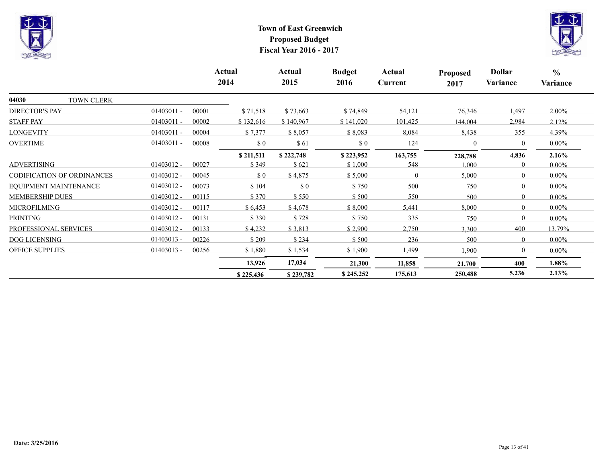



|                            |              |       | Actual<br>2014 | Actual<br>2015 | <b>Budget</b><br>2016 | Actual<br>Current | <b>Proposed</b><br>2017 | <b>Dollar</b><br>Variance | $\frac{6}{6}$<br>Variance |
|----------------------------|--------------|-------|----------------|----------------|-----------------------|-------------------|-------------------------|---------------------------|---------------------------|
| 04030<br>TOWN CLERK        |              |       |                |                |                       |                   |                         |                           |                           |
| <b>DIRECTOR'S PAY</b>      | $01403011 -$ | 00001 | \$71,518       | \$73,663       | \$74,849              | 54,121            | 76,346                  | 1,497                     | 2.00%                     |
| <b>STAFF PAY</b>           | $01403011 -$ | 00002 | \$132,616      | \$140,967      | \$141,020             | 101,425           | 144,004                 | 2,984                     | 2.12%                     |
| LONGEVITY                  | $01403011 -$ | 00004 | \$7,377        | \$8,057        | \$8,083               | 8,084             | 8,438                   | 355                       | 4.39%                     |
| <b>OVERTIME</b>            | $01403011 -$ | 00008 | \$0            | \$61           | \$0                   | 124               | $\theta$                | $\mathbf{0}$              | $0.00\%$                  |
|                            |              |       | \$211,511      | \$222,748      | \$223,952             | 163,755           | 228,788                 | 4,836                     | 2.16%                     |
| <b>ADVERTISING</b>         | $01403012 -$ | 00027 | \$349          | \$621          | \$1,000               | 548               | 1,000                   | $\mathbf{0}$              | $0.00\%$                  |
| CODIFICATION OF ORDINANCES | $01403012 -$ | 00045 | \$0            | \$4,875        | \$5,000               | $\Omega$          | 5,000                   | $\overline{0}$            | $0.00\%$                  |
| EOUIPMENT MAINTENANCE      | 01403012 -   | 00073 | \$104          | \$ 0           | \$750                 | 500               | 750                     | $\overline{0}$            | $0.00\%$                  |
| <b>MEMBERSHIP DUES</b>     | $01403012 -$ | 00115 | \$370          | \$550          | \$500                 | 550               | 500                     | $\theta$                  | $0.00\%$                  |
| <b>MICROFILMING</b>        | 01403012 -   | 00117 | \$6,453        | \$4,678        | \$8,000               | 5,441             | 8,000                   | $\theta$                  | $0.00\%$                  |
| <b>PRINTING</b>            | $01403012 -$ | 00131 | \$330          | \$728          | \$750                 | 335               | 750                     | $\theta$                  | $0.00\%$                  |
| PROFESSIONAL SERVICES      | $01403012 -$ | 00133 | \$4,232        | \$3,813        | \$2,900               | 2,750             | 3,300                   | 400                       | 13.79%                    |
| <b>DOG LICENSING</b>       | $01403013 -$ | 00226 | \$209          | \$234          | \$500                 | 236               | 500                     | $\overline{0}$            | $0.00\%$                  |
| <b>OFFICE SUPPLIES</b>     | $01403013 -$ | 00256 | \$1,880        | \$1,534        | \$1,900               | 1,499             | 1,900                   | $\mathbf{0}$              | $0.00\%$                  |
|                            |              |       | 13,926         | 17,034         | 21,300                | 11,858            | 21,700                  | 400                       | 1.88%                     |
|                            |              |       | \$225,436      | \$239,782      | \$245,252             | 175,613           | 250,488                 | 5,236                     | 2.13%                     |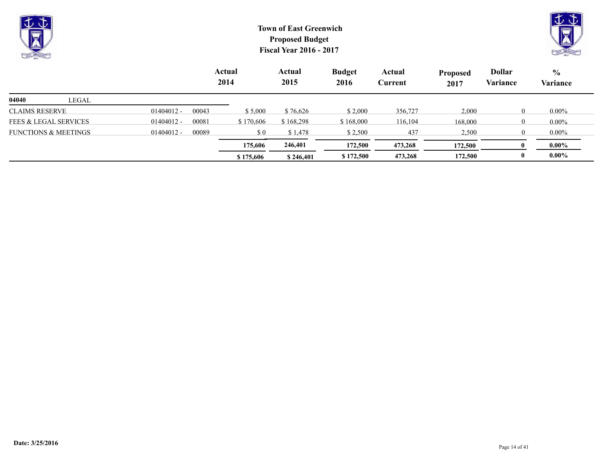| $\vee \vee$<br>$\overline{\nabla}$<br>$\triangle$<br><b>COLLEGE CALLING</b> |       |              | <b>Town of East Greenwich</b><br><b>Proposed Budget</b><br><b>Fiscal Year 2016 - 2017</b> |                |                |                       |                   |                         |                           |                           |  |  |
|-----------------------------------------------------------------------------|-------|--------------|-------------------------------------------------------------------------------------------|----------------|----------------|-----------------------|-------------------|-------------------------|---------------------------|---------------------------|--|--|
|                                                                             |       |              |                                                                                           | Actual<br>2014 | Actual<br>2015 | <b>Budget</b><br>2016 | Actual<br>Current | <b>Proposed</b><br>2017 | <b>Dollar</b><br>Variance | $\frac{6}{6}$<br>Variance |  |  |
| 04040                                                                       | LEGAL |              |                                                                                           |                |                |                       |                   |                         |                           |                           |  |  |
| CLAIMS RESERVE                                                              |       | $01404012 -$ | 00043                                                                                     | \$5,000        | \$76,626       | \$2,000               | 356,727           | 2,000                   | $\Omega$                  | $0.00\%$                  |  |  |
| <b>FEES &amp; LEGAL SERVICES</b>                                            |       | $01404012 -$ | 00081                                                                                     | \$170,606      | \$168,298      | \$168,000             | 116,104           | 168,000                 |                           | $0.00\%$                  |  |  |

**\$ 175,606 \$ 246,401 \$ 172,500 473,268 172,500 0 0.00% 175,606 246,401 172,500 473,268 172,500 0 0.00%**

FUNCTIONS & MEETINGS 01404012 - 00089 \$ 0 \$ 1,478 \$ 2,500 437 2,500 0 0.00%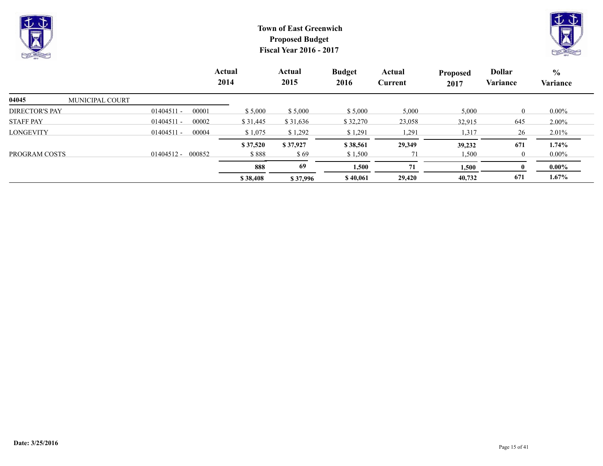



|                                 |                       | Actual<br>2014 | Actual<br>2015 | <b>Budget</b><br>2016 | Actual<br>Current | <b>Proposed</b><br>2017 | <b>Dollar</b><br>Variance | $\%$<br>Variance |
|---------------------------------|-----------------------|----------------|----------------|-----------------------|-------------------|-------------------------|---------------------------|------------------|
| 04045<br><b>MUNICIPAL COURT</b> |                       |                |                |                       |                   |                         |                           |                  |
| <b>DIRECTOR'S PAY</b>           | 00001<br>$01404511 -$ | \$5,000        | \$5,000        | \$5,000               | 5,000             | 5,000                   | $\Omega$                  | $0.00\%$         |
| <b>STAFF PAY</b>                | 00002<br>$01404511 -$ | \$31,445       | \$31,636       | \$32,270              | 23,058            | 32,915                  | 645                       | $2.00\%$         |
| <b>LONGEVITY</b>                | $01404511 -$<br>00004 | \$1,075        | \$1,292        | \$1,291               | 1,291             | 1,317                   | 26                        | 2.01%            |
|                                 |                       | \$37,520       | \$37,927       | \$38,561              | 29,349            | 39,232                  | 671                       | 1.74%            |
| PROGRAM COSTS                   | 000852<br>01404512 -  | \$888          | \$69           | \$1,500               |                   | 1,500                   | $\theta$                  | $0.00\%$         |
|                                 |                       | 888            | 69             | 1,500                 | 71                | 1,500                   |                           | $0.00\%$         |
|                                 |                       | \$38,408       | \$37,996       | \$40,061              | 29,420            | 40,732                  | 671                       | $1.67\%$         |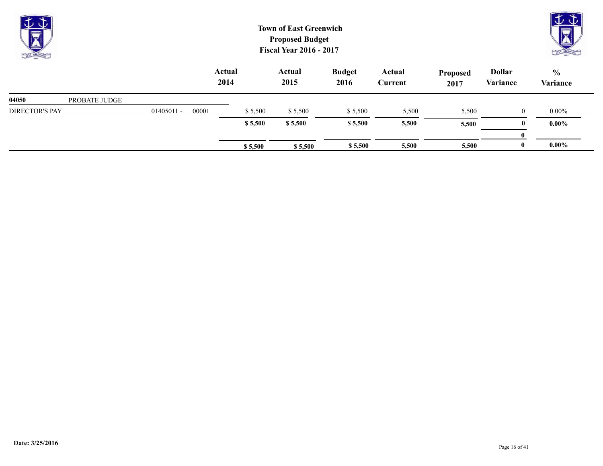| $J\Phi$<br><b>R</b><br><b>CALL CALLING</b> |               |              |       |                       | <b>Town of East Greenwich</b><br><b>Proposed Budget</b><br><b>Fiscal Year 2016 - 2017</b> |                       |                   |                         |                           | JU<br>CAST CREEK          |
|--------------------------------------------|---------------|--------------|-------|-----------------------|-------------------------------------------------------------------------------------------|-----------------------|-------------------|-------------------------|---------------------------|---------------------------|
|                                            |               |              |       | <b>Actual</b><br>2014 | <b>Actual</b><br>2015                                                                     | <b>Budget</b><br>2016 | Actual<br>Current | <b>Proposed</b><br>2017 | <b>Dollar</b><br>Variance | $\frac{6}{6}$<br>Variance |
| 04050                                      | PROBATE JUDGE |              |       |                       |                                                                                           |                       |                   |                         |                           |                           |
| <b>DIRECTOR'S PAY</b>                      |               | $01405011 -$ | 00001 | \$5,500               | \$5,500                                                                                   | \$5,500               | 5,500             | 5,500                   | $\theta$                  | $0.00\%$                  |
|                                            |               |              |       | \$5,500               | \$5,500                                                                                   | \$5,500               | 5,500             | 5,500                   | $\mathbf{0}$              | $0.00\%$                  |
|                                            |               |              |       |                       |                                                                                           |                       |                   |                         | $\bf{0}$                  |                           |

**\$ 5,500 \$ 5,500 \$ 5,500 5,500 5,500 0 0.00%**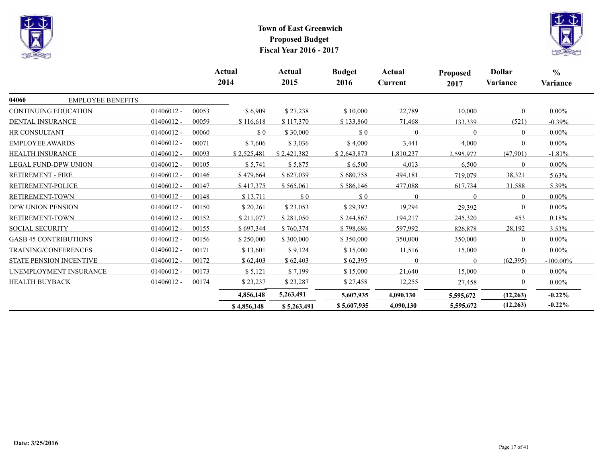



|                          |                                |              |       | Actual<br>2014 | Actual<br>2015 | <b>Budget</b><br>2016       | Actual<br>Current | <b>Proposed</b><br>2017 | <b>Dollar</b><br>Variance | $\frac{0}{0}$<br>Variance |
|--------------------------|--------------------------------|--------------|-------|----------------|----------------|-----------------------------|-------------------|-------------------------|---------------------------|---------------------------|
| 04060                    | <b>EMPLOYEE BENEFITS</b>       |              |       |                |                |                             |                   |                         |                           |                           |
|                          | <b>CONTINUING EDUCATION</b>    | $01406012 -$ | 00053 | \$6,909        | \$27,238       | \$10,000                    | 22,789            | 10,000                  | $\theta$                  | $0.00\%$                  |
| <b>DENTAL INSURANCE</b>  |                                | $01406012 -$ | 00059 | \$116,618      | \$117,370      | \$133,860                   | 71,468            | 133,339                 | (521)                     | $-0.39%$                  |
| <b>HR CONSULTANT</b>     |                                | $01406012 -$ | 00060 | $\Omega$       | \$30,000       | $\sqrt{3}0$                 | $\Omega$          | $\Omega$                | $\theta$                  | $0.00\%$                  |
| <b>EMPLOYEE AWARDS</b>   |                                | $01406012 -$ | 00071 | \$7,606        | \$3,036        | \$4,000                     | 3,441             | 4,000                   | $\Omega$                  | $0.00\%$                  |
| <b>HEALTH INSURANCE</b>  |                                | $01406012 -$ | 00093 | \$2,525,481    | \$2,421,382    | \$2,643,873                 | 1,810,237         | 2,595,972               | (47,901)                  | $-1.81%$                  |
|                          | <b>LEGAL FUND-DPW UNION</b>    | $01406012 -$ | 00105 | \$5,741        | \$5,875        | \$6,500                     | 4,013             | 6,500                   | $\theta$                  | $0.00\%$                  |
| <b>RETIREMENT - FIRE</b> |                                | $01406012 -$ | 00146 | \$479,664      | \$627,039      | \$680,758                   | 494,181           | 719,079                 | 38,321                    | 5.63%                     |
| RETIREMENT-POLICE        |                                | $01406012 -$ | 00147 | \$417,375      | \$565,061      | \$586,146                   | 477,088           | 617,734                 | 31,588                    | 5.39%                     |
| RETIREMENT-TOWN          |                                | $01406012 -$ | 00148 | \$13,711       | \$0            | $\boldsymbol{\mathsf{S}}$ 0 | $\Omega$          | $\Omega$                | $\Omega$                  | $0.00\%$                  |
| DPW UNION PENSION        |                                | $01406012 -$ | 00150 | \$20,261       | \$23,053       | \$29,392                    | 19,294            | 29,392                  | $\Omega$                  | $0.00\%$                  |
| <b>RETIREMENT-TOWN</b>   |                                | $01406012 -$ | 00152 | \$211,077      | \$281,050      | \$244,867                   | 194,217           | 245,320                 | 453                       | 0.18%                     |
| <b>SOCIAL SECURITY</b>   |                                | $01406012 -$ | 00155 | \$697,344      | \$760,374      | \$798,686                   | 597,992           | 826,878                 | 28,192                    | $3.53\%$                  |
|                          | <b>GASB 45 CONTRIBUTIONS</b>   | $01406012 -$ | 00156 | \$250,000      | \$300,000      | \$350,000                   | 350,000           | 350,000                 | $\Omega$                  | $0.00\%$                  |
|                          | TRAINING/CONFERENCES           | $01406012 -$ | 00171 | \$13,601       | \$9,124        | \$15,000                    | 11,516            | 15,000                  | $\Omega$                  | $0.00\%$                  |
|                          | <b>STATE PENSION INCENTIVE</b> | $01406012 -$ | 00172 | \$62,403       | \$62,403       | \$62,395                    | $\Omega$          | $\Omega$                | (62, 395)                 | $-100.00\%$               |
|                          | UNEMPLOYMENT INSURANCE         | $01406012 -$ | 00173 | \$5,121        | \$7,199        | \$15,000                    | 21,640            | 15,000                  | $\Omega$                  | $0.00\%$                  |
| HEALTH BUYBACK           |                                | $01406012 -$ | 00174 | \$23,237       | \$23,287       | \$27,458                    | 12,255            | 27,458                  | $\Omega$                  | $0.00\%$                  |
|                          |                                |              |       | 4,856,148      | 5,263,491      | 5,607,935                   | 4,090,130         | 5,595,672               | (12, 263)                 | $-0.22\%$                 |
|                          |                                |              |       | \$4,856,148    | \$5,263,491    | \$5,607,935                 | 4,090,130         | 5,595,672               | (12, 263)                 | $-0.22%$                  |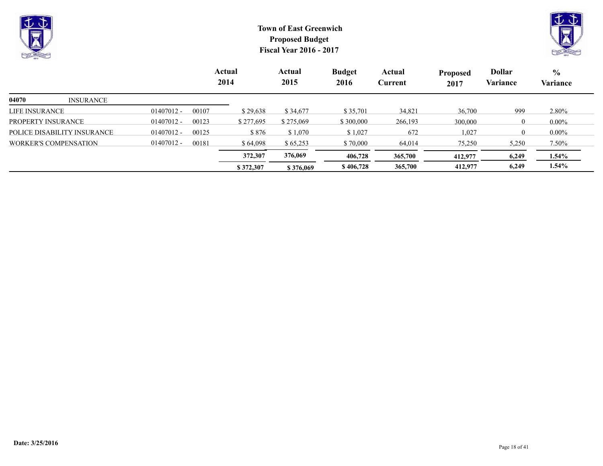



|                              |              |       | Actual<br>2014 | Actual<br>2015 | <b>Budget</b><br>2016 | Actual<br>Current | <b>Proposed</b><br>2017 | <b>Dollar</b><br>Variance | $\frac{6}{9}$<br><b>Variance</b> |
|------------------------------|--------------|-------|----------------|----------------|-----------------------|-------------------|-------------------------|---------------------------|----------------------------------|
| 04070<br><b>INSURANCE</b>    |              |       |                |                |                       |                   |                         |                           |                                  |
| LIFE INSURANCE               | $01407012 -$ | 00107 | \$29,638       | \$34,677       | \$35,701              | 34,821            | 36,700                  | 999                       | 2.80%                            |
| PROPERTY INSURANCE           | $01407012 -$ | 00123 | \$277,695      | \$275,069      | \$300,000             | 266,193           | 300,000                 | $\overline{0}$            | $0.00\%$                         |
| POLICE DISABILITY INSURANCE  | $01407012 -$ | 00125 | \$876          | \$1,070        | \$1,027               | 672               | 1,027                   | $\Omega$                  | $0.00\%$                         |
| <b>WORKER'S COMPENSATION</b> | $01407012 -$ | 00181 | \$64.098       | \$65,253       | \$70,000              | 64,014            | 75,250                  | 5,250                     | $7.50\%$                         |
|                              |              |       | 372,307        | 376,069        | 406,728               | 365,700           | 412,977                 | 6,249                     | $1.54\%$                         |
|                              |              |       | \$372,307      | \$376,069      | \$406,728             | 365,700           | 412,977                 | 6,249                     | $1.54\%$                         |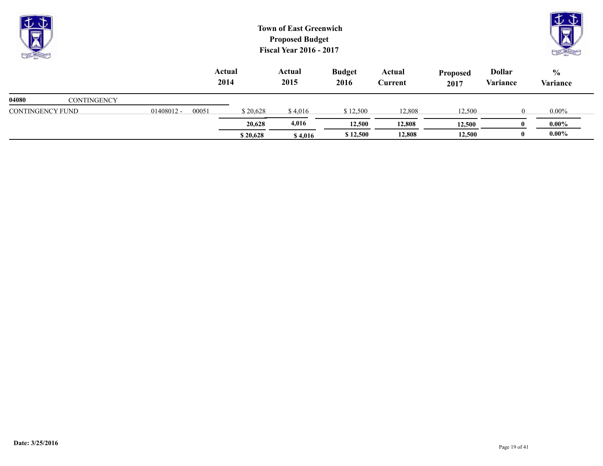| $\overline{\bigtriangledown}$<br><b>CONTRACTOR</b> |                    |              |       | <b>Town of East Greenwich</b><br><b>Proposed Budget</b><br><b>Fiscal Year 2016 - 2017</b> |                | $\mathbb{U} \mathbb{U}$ |                   |                         |                           |                                  |
|----------------------------------------------------|--------------------|--------------|-------|-------------------------------------------------------------------------------------------|----------------|-------------------------|-------------------|-------------------------|---------------------------|----------------------------------|
|                                                    |                    |              |       | Actual<br>2014                                                                            | Actual<br>2015 | <b>Budget</b><br>2016   | Actual<br>Current | <b>Proposed</b><br>2017 | <b>Dollar</b><br>Variance | $\frac{6}{9}$<br><b>Variance</b> |
| 04080                                              | <b>CONTINGENCY</b> |              |       |                                                                                           |                |                         |                   |                         |                           |                                  |
| CONTINGENCY FUND                                   |                    | $01408012 -$ | 00051 | \$20,628                                                                                  | \$4,016        | \$12,500                | 12,808            | 12,500                  | $\theta$                  | $0.00\%$                         |

 $$ 20,628$  $$ 4,016$  $$ 12,500$  $12,808$  $12,500$  $0$  $0.00\%$  **20,628 4,016 12,500 12,808 12,500 0 0.00%**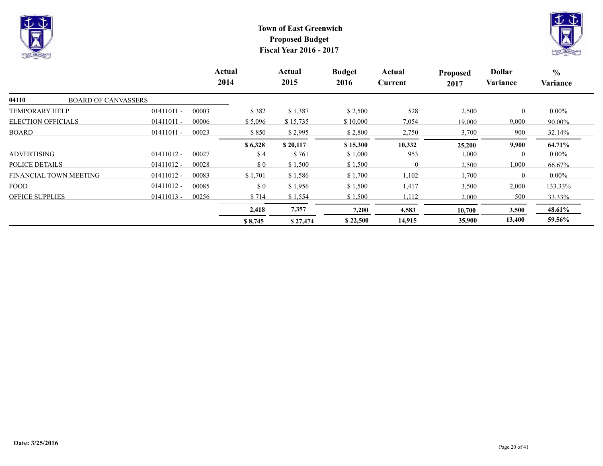



|                                     |              | Actual<br>2014 |         | Actual<br>2015 | <b>Budget</b><br>2016 | Actual<br>Current | <b>Proposed</b><br>2017 | <b>Dollar</b><br>Variance | $\frac{6}{6}$<br>Variance |
|-------------------------------------|--------------|----------------|---------|----------------|-----------------------|-------------------|-------------------------|---------------------------|---------------------------|
| 04110<br><b>BOARD OF CANVASSERS</b> |              |                |         |                |                       |                   |                         |                           |                           |
| <b>TEMPORARY HELP</b>               | $01411011 -$ | 00003          | \$382   | \$1,387        | \$2,500               | 528               | 2,500                   | $\theta$                  | $0.00\%$                  |
| <b>ELECTION OFFICIALS</b>           | $01411011 -$ | 00006          | \$5,096 | \$15,735       | \$10,000              | 7,054             | 19,000                  | 9,000                     | 90.00%                    |
| <b>BOARD</b>                        | $01411011 -$ | 00023          | \$850   | \$2,995        | \$2,800               | 2,750             | 3,700                   | 900                       | 32.14%                    |
|                                     |              |                | \$6,328 | \$20,117       | \$15,300              | 10,332            | 25,200                  | 9,900                     | 64.71%                    |
| <b>ADVERTISING</b>                  | $01411012 -$ | 00027          | \$4     | \$761          | \$1,000               | 953               | 1,000                   | $\theta$                  | $0.00\%$                  |
| POLICE DETAILS                      | $01411012 -$ | 00028          | \$0     | \$1,500        | \$1,500               | $\overline{0}$    | 2,500                   | 1,000                     | 66.67%                    |
| <b>FINANCIAL TOWN MEETING</b>       | $01411012 -$ | 00083          | \$1,701 | \$1,586        | \$1,700               | 1,102             | 1,700                   | $\theta$                  | $0.00\%$                  |
| <b>FOOD</b>                         | $01411012 -$ | 00085          | \$0     | \$1,956        | \$1,500               | 1,417             | 3,500                   | 2,000                     | 133.33%                   |
| <b>OFFICE SUPPLIES</b>              | $01411013 -$ | 00256          | \$714   | \$1,554        | \$1,500               | 1,112             | 2,000                   | 500                       | 33.33%                    |
|                                     |              |                | 2,418   | 7,357          | 7,200                 | 4,583             | 10,700                  | 3,500                     | 48.61%                    |
|                                     |              |                | \$8,745 | \$27,474       | \$22,500              | 14,915            | 35,900                  | 13,400                    | 59.56%                    |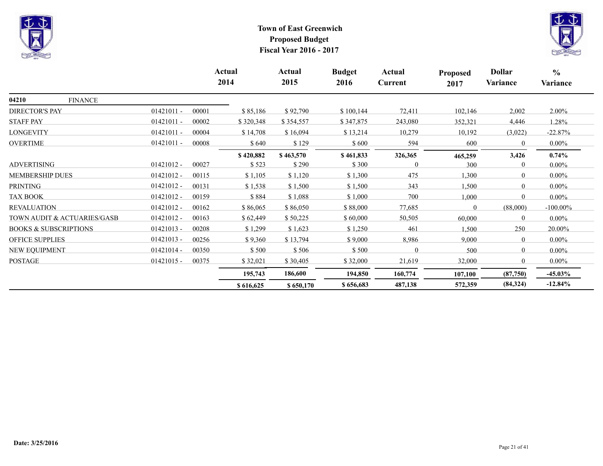



|                                  |              |       | Actual<br>2014 | Actual<br>2015 | <b>Budget</b><br>2016 | Actual<br>Current | <b>Proposed</b><br>2017 | <b>Dollar</b><br>Variance | $\frac{6}{6}$<br>Variance |
|----------------------------------|--------------|-------|----------------|----------------|-----------------------|-------------------|-------------------------|---------------------------|---------------------------|
| 04210<br><b>FINANCE</b>          |              |       |                |                |                       |                   |                         |                           |                           |
| <b>DIRECTOR'S PAY</b>            | $01421011 -$ | 00001 | \$85,186       | \$92,790       | \$100,144             | 72,411            | 102,146                 | 2,002                     | 2.00%                     |
| <b>STAFF PAY</b>                 | $01421011 -$ | 00002 | \$320,348      | \$354,557      | \$347,875             | 243,080           | 352,321                 | 4,446                     | 1.28%                     |
| LONGEVITY                        | $01421011 -$ | 00004 | \$14,708       | \$16,094       | \$13,214              | 10,279            | 10,192                  | (3,022)                   | $-22.87%$                 |
| <b>OVERTIME</b>                  | $01421011 -$ | 00008 | \$640          | \$129          | \$600                 | 594               | 600                     | $\theta$                  | $0.00\%$                  |
|                                  |              |       | \$420,882      | \$463,570      | \$461,833             | 326,365           | 465,259                 | 3,426                     | $0.74\%$                  |
| <b>ADVERTISING</b>               | $01421012 -$ | 00027 | \$523          | \$290          | \$300                 | 0                 | 300                     | $\theta$                  | $0.00\%$                  |
| <b>MEMBERSHIP DUES</b>           | $01421012 -$ | 00115 | \$1,105        | \$1,120        | \$1,300               | 475               | 1,300                   | $\theta$                  | $0.00\%$                  |
| <b>PRINTING</b>                  | $01421012 -$ | 00131 | \$1,538        | \$1,500        | \$1,500               | 343               | 1,500                   | $\theta$                  | $0.00\%$                  |
| <b>TAX BOOK</b>                  | $01421012 -$ | 00159 | \$884          | \$1,088        | \$1,000               | 700               | 1,000                   | $\theta$                  | $0.00\%$                  |
| <b>REVALUATION</b>               | $01421012 -$ | 00162 | \$86,065       | \$86,050       | \$88,000              | 77,685            | $\theta$                | (88,000)                  | $-100.00\%$               |
| TOWN AUDIT & ACTUARIES/GASB      | $01421012 -$ | 00163 | \$62,449       | \$50,225       | \$60,000              | 50,505            | 60,000                  | $\Omega$                  | $0.00\%$                  |
| <b>BOOKS &amp; SUBSCRIPTIONS</b> | $01421013 -$ | 00208 | \$1,299        | \$1,623        | \$1,250               | 461               | 1,500                   | 250                       | 20.00%                    |
| <b>OFFICE SUPPLIES</b>           | $01421013 -$ | 00256 | \$9,360        | \$13,794       | \$9,000               | 8,986             | 9,000                   | $\theta$                  | $0.00\%$                  |
| NEW EQUIPMENT                    | $01421014 -$ | 00350 | \$500          | \$506          | \$500                 | $\mathbf{0}$      | 500                     | $\overline{0}$            | $0.00\%$                  |
| <b>POSTAGE</b>                   | $01421015 -$ | 00375 | \$32,021       | \$30,405       | \$32,000              | 21,619            | 32,000                  | $\overline{0}$            | $0.00\%$                  |
|                                  |              |       | 195,743        | 186,600        | 194,850               | 160,774           | 107,100                 | (87,750)                  | $-45.03\%$                |
|                                  |              |       | \$616,625      | \$650,170      | \$656,683             | 487,138           | 572,359                 | (84, 324)                 | $-12.84%$                 |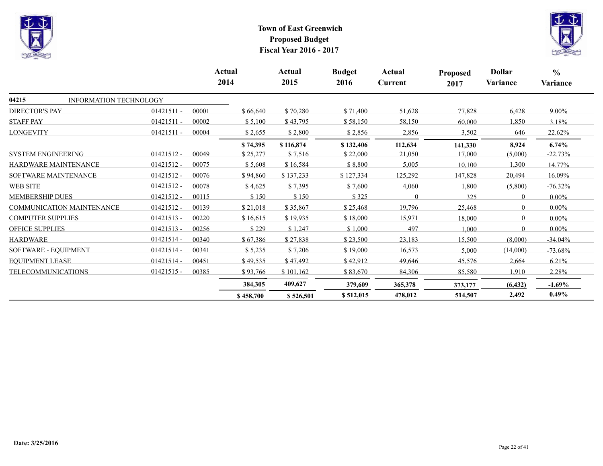



|                           |                           |              |       | Actual<br>2014 | Actual<br>2015 | <b>Budget</b><br>2016 | Actual<br>Current | <b>Proposed</b><br>2017 | <b>Dollar</b><br>Variance | $\frac{0}{0}$<br>Variance |
|---------------------------|---------------------------|--------------|-------|----------------|----------------|-----------------------|-------------------|-------------------------|---------------------------|---------------------------|
| 04215                     | INFORMATION TECHNOLOGY    |              |       |                |                |                       |                   |                         |                           |                           |
| <b>DIRECTOR'S PAY</b>     |                           | $01421511 -$ | 00001 | \$66,640       | \$70,280       | \$71,400              | 51,628            | 77,828                  | 6,428                     | $9.00\%$                  |
| <b>STAFF PAY</b>          |                           | $01421511 -$ | 00002 | \$5,100        | \$43,795       | \$58,150              | 58,150            | 60,000                  | 1,850                     | 3.18%                     |
| <b>LONGEVITY</b>          |                           | $01421511 -$ | 00004 | \$2,655        | \$2,800        | \$2,856               | 2,856             | 3,502                   | 646                       | 22.62%                    |
|                           |                           |              |       | \$74,395       | \$116,874      | \$132,406             | 112,634           | 141,330                 | 8,924                     | 6.74%                     |
| <b>SYSTEM ENGINEERING</b> |                           | $01421512 -$ | 00049 | \$25,277       | \$7,516        | \$22,000              | 21,050            | 17,000                  | (5,000)                   | $-22.73%$                 |
| HARDWARE MAINTENANCE      |                           | 01421512 -   | 00075 | \$5,608        | \$16,584       | \$8,800               | 5,005             | 10,100                  | 1,300                     | 14.77%                    |
| SOFTWARE MAINTENANCE      |                           | $01421512 -$ | 00076 | \$94,860       | \$137,233      | \$127,334             | 125,292           | 147,828                 | 20,494                    | 16.09%                    |
| <b>WEB SITE</b>           |                           | 01421512 -   | 00078 | \$4,625        | \$7,395        | \$7,600               | 4,060             | 1,800                   | (5,800)                   | $-76.32\%$                |
| <b>MEMBERSHIP DUES</b>    |                           | $01421512 -$ | 00115 | \$150          | \$150          | \$325                 | $\Omega$          | 325                     | $\theta$                  | $0.00\%$                  |
|                           | COMMUNICATION MAINTENANCE | $01421512 -$ | 00139 | \$21,018       | \$35,867       | \$25,468              | 19,796            | 25,468                  | $\theta$                  | $0.00\%$                  |
| <b>COMPUTER SUPPLIES</b>  |                           | $01421513 -$ | 00220 | \$16,615       | \$19,935       | \$18,000              | 15,971            | 18,000                  | $\theta$                  | $0.00\%$                  |
| <b>OFFICE SUPPLIES</b>    |                           | $01421513 -$ | 00256 | \$229          | \$1,247        | \$1,000               | 497               | 1,000                   | $\theta$                  | $0.00\%$                  |
| <b>HARDWARE</b>           |                           | $01421514 -$ | 00340 | \$67,386       | \$27,838       | \$23,500              | 23,183            | 15,500                  | (8,000)                   | $-34.04%$                 |
| SOFTWARE - EQUIPMENT      |                           | 01421514 -   | 00341 | \$5,235        | \$7,206        | \$19,000              | 16,573            | 5,000                   | (14,000)                  | $-73.68\%$                |
| <b>EQUIPMENT LEASE</b>    |                           | $01421514 -$ | 00451 | \$49,535       | \$47,492       | \$42,912              | 49,646            | 45,576                  | 2,664                     | 6.21%                     |
| <b>TELECOMMUNICATIONS</b> |                           | $01421515 -$ | 00385 | \$93,766       | \$101,162      | \$83,670              | 84,306            | 85,580                  | 1,910                     | 2.28%                     |
|                           |                           |              |       | 384,305        | 409,627        | 379,609               | 365,378           | 373,177                 | (6, 432)                  | $-1.69\%$                 |
|                           |                           |              |       | \$458,700      | \$526,501      | \$512,015             | 478,012           | 514,507                 | 2,492                     | $0.49\%$                  |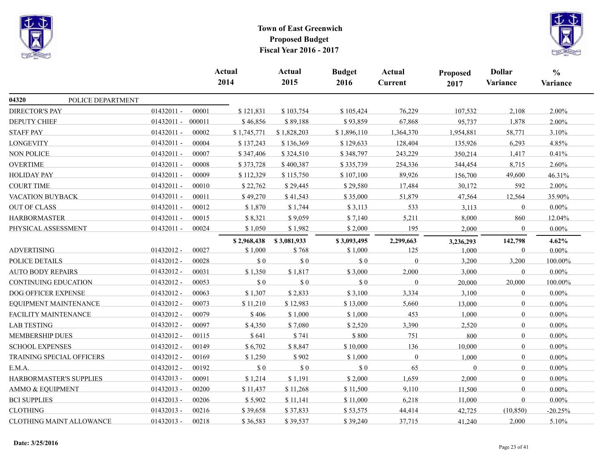



|                             |                           |              |        | Actual<br>2014 | <b>Actual</b><br>2015       | <b>Budget</b><br>2016 | Actual<br>Current | Proposed<br>2017 | <b>Dollar</b><br>Variance | $\frac{0}{0}$<br>Variance |
|-----------------------------|---------------------------|--------------|--------|----------------|-----------------------------|-----------------------|-------------------|------------------|---------------------------|---------------------------|
| 04320                       | POLICE DEPARTMENT         |              |        |                |                             |                       |                   |                  |                           |                           |
| <b>DIRECTOR'S PAY</b>       |                           | $01432011 -$ | 00001  | \$121,831      | \$103,754                   | \$105,424             | 76,229            | 107,532          | 2,108                     | 2.00%                     |
| <b>DEPUTY CHIEF</b>         |                           | $01432011 -$ | 000011 | \$46,856       | \$89,188                    | \$93,859              | 67,868            | 95,737           | 1,878                     | 2.00%                     |
| <b>STAFF PAY</b>            |                           | $01432011 -$ | 00002  | \$1,745,771    | \$1,828,203                 | \$1,896,110           | 1,364,370         | 1,954,881        | 58,771                    | 3.10%                     |
| <b>LONGEVITY</b>            |                           | 01432011 -   | 00004  | \$137,243      | \$136,369                   | \$129,633             | 128,404           | 135,926          | 6,293                     | 4.85%                     |
| <b>NON POLICE</b>           |                           | $01432011 -$ | 00007  | \$347,406      | \$324,510                   | \$348,797             | 243,229           | 350,214          | 1,417                     | 0.41%                     |
| <b>OVERTIME</b>             |                           | $01432011 -$ | 00008  | \$373,728      | \$400,387                   | \$335,739             | 254,336           | 344,454          | 8,715                     | 2.60%                     |
| <b>HOLIDAY PAY</b>          |                           | $01432011 -$ | 00009  | \$112,329      | \$115,750                   | \$107,100             | 89,926            | 156,700          | 49,600                    | 46.31%                    |
| <b>COURT TIME</b>           |                           | 01432011 -   | 00010  | \$22,762       | \$29,445                    | \$29,580              | 17,484            | 30,172           | 592                       | 2.00%                     |
| VACATION BUYBACK            |                           | $01432011 -$ | 00011  | \$49,270       | \$41,543                    | \$35,000              | 51,879            | 47,564           | 12,564                    | 35.90%                    |
| <b>OUT OF CLASS</b>         |                           | $01432011 -$ | 00012  | \$1,870        | \$1,744                     | \$3,113               | 533               | 3,113            | $\mathbf{0}$              | $0.00\%$                  |
| <b>HARBORMASTER</b>         |                           | $01432011 -$ | 00015  | \$8,321        | \$9,059                     | \$7,140               | 5,211             | 8,000            | 860                       | 12.04%                    |
| PHYSICAL ASSESSMENT         |                           | $01432011 -$ | 00024  | \$1,050        | \$1,982                     | \$2,000               | 195               | 2,000            | $\bf{0}$                  | 0.00%                     |
|                             |                           |              |        | \$2,968,438    | \$3,081,933                 | \$3,093,495           | 2,299,663         | 3,236,293        | 142,798                   | 4.62%                     |
| <b>ADVERTISING</b>          |                           | 01432012 -   | 00027  | \$1,000        | \$768                       | \$1,000               | 125               | 1,000            | $\mathbf{0}$              | 0.00%                     |
| POLICE DETAILS              |                           | $01432012 -$ | 00028  | \$0            | \$0                         | \$0                   | $\mathbf{0}$      | 3,200            | 3,200                     | 100.00%                   |
| <b>AUTO BODY REPAIRS</b>    |                           | 01432012 -   | 00031  | \$1,350        | \$1,817                     | \$3,000               | 2,000             | 3,000            | $\mathbf{0}$              | $0.00\%$                  |
| <b>CONTINUING EDUCATION</b> |                           | $01432012 -$ | 00053  | \$0            | \$0                         | $\$$ 0                | $\Omega$          | 20,000           | 20,000                    | 100.00%                   |
| DOG OFFICER EXPENSE         |                           | $01432012 -$ | 00063  | \$1,307        | \$2,833                     | \$3,100               | 3,334             | 3,100            | $\overline{0}$            | $0.00\%$                  |
|                             | EQUIPMENT MAINTENANCE     | 01432012 -   | 00073  | \$11,210       | \$12,983                    | \$13,000              | 5,660             | 13,000           | $\overline{0}$            | $0.00\%$                  |
| FACILITY MAINTENANCE        |                           | 01432012 -   | 00079  | \$406          | \$1,000                     | \$1,000               | 453               | 1,000            | $\mathbf{0}$              | $0.00\%$                  |
| <b>LAB TESTING</b>          |                           | 01432012 -   | 00097  | \$4,350        | \$7,080                     | \$2,520               | 3,390             | 2,520            | $\bf{0}$                  | $0.00\%$                  |
| <b>MEMBERSHIP DUES</b>      |                           | $01432012 -$ | 00115  | \$641          | \$741                       | \$800                 | 751               | 800              | $\overline{0}$            | $0.00\%$                  |
| <b>SCHOOL EXPENSES</b>      |                           | 01432012 -   | 00149  | \$6,702        | \$8,847                     | \$10,000              | 136               | 10,000           | $\overline{0}$            | $0.00\%$                  |
|                             | TRAINING SPECIAL OFFICERS | $01432012 -$ | 00169  | \$1,250        | \$902                       | \$1,000               | $\overline{0}$    | 1,000            | $\mathbf{0}$              | $0.00\%$                  |
| E.M.A.                      |                           | 01432012 -   | 00192  | $\$$ 0         | $\boldsymbol{\mathsf{S}}$ 0 | $\$$ 0                | 65                | $\mathbf{0}$     | $\mathbf{0}$              | $0.00\%$                  |
|                             | HARBORMASTER'S SUPPLIES   | $01432013 -$ | 00091  | \$1,214        | \$1,191                     | \$2,000               | 1,659             | 2,000            | $\overline{0}$            | $0.00\%$                  |
| AMMO & EQUIPMENT            |                           | 01432013 -   | 00200  | \$11,437       | \$11,268                    | \$11,500              | 9,110             | 11,500           | $\overline{0}$            | $0.00\%$                  |
| <b>BCI SUPPLIES</b>         |                           | $01432013 -$ | 00206  | \$5,902        | \$11,141                    | \$11,000              | 6,218             | 11,000           | $\mathbf{0}$              | $0.00\%$                  |
| <b>CLOTHING</b>             |                           | 01432013 -   | 00216  | \$39,658       | \$37,833                    | \$53,575              | 44,414            | 42,725           | (10, 850)                 | $-20.25%$                 |
|                             | CLOTHING MAINT ALLOWANCE  | $01432013 -$ | 00218  | \$36,583       | \$39,537                    | \$39,240              | 37,715            | 41,240           | 2,000                     | 5.10%                     |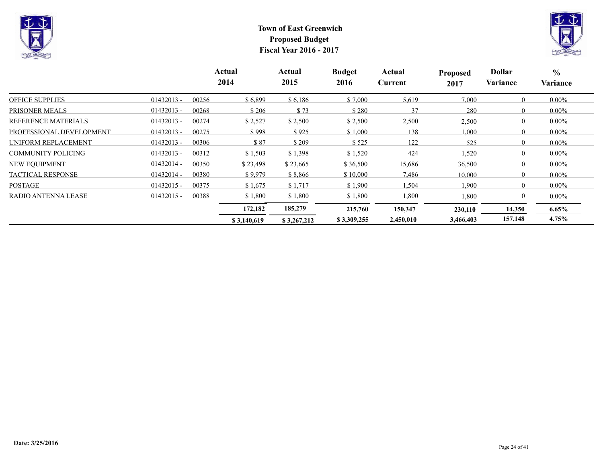



|                            |              |       | Actual<br>2014 | Actual<br>2015 | <b>Budget</b><br>2016 | Actual<br>Current | <b>Proposed</b><br>2017 | <b>Dollar</b><br><b>Variance</b> | $\frac{0}{0}$<br>Variance |
|----------------------------|--------------|-------|----------------|----------------|-----------------------|-------------------|-------------------------|----------------------------------|---------------------------|
| <b>OFFICE SUPPLIES</b>     | $01432013 -$ | 00256 | \$6,899        | \$6,186        | \$7,000               | 5,619             | 7,000                   | $\theta$                         | $0.00\%$                  |
| PRISONER MEALS             | $01432013 -$ | 00268 | \$206          | \$73           | \$280                 | 37                | 280                     | $\theta$                         | $0.00\%$                  |
| <b>REFERENCE MATERIALS</b> | $01432013 -$ | 00274 | \$2,527        | \$2,500        | \$2,500               | 2,500             | 2,500                   | $\overline{0}$                   | $0.00\%$                  |
| PROFESSIONAL DEVELOPMENT   | $01432013 -$ | 00275 | \$998          | \$925          | \$1,000               | 138               | 1,000                   | $\theta$                         | $0.00\%$                  |
| UNIFORM REPLACEMENT        | $01432013 -$ | 00306 | \$87           | \$209          | \$525                 | 122               | 525                     | $\mathbf{0}$                     | $0.00\%$                  |
| <b>COMMUNITY POLICING</b>  | $01432013 -$ | 00312 | \$1,503        | \$1,398        | \$1,520               | 424               | 1,520                   | $\theta$                         | $0.00\%$                  |
| NEW EQUIPMENT              | $01432014 -$ | 00350 | \$23,498       | \$23,665       | \$36,500              | 15,686            | 36,500                  | $\theta$                         | $0.00\%$                  |
| <b>TACTICAL RESPONSE</b>   | $01432014 -$ | 00380 | \$9,979        | \$8,866        | \$10,000              | 7,486             | 10,000                  | $\theta$                         | $0.00\%$                  |
| <b>POSTAGE</b>             | $01432015 -$ | 00375 | \$1,675        | \$1,717        | \$1,900               | 1.504             | 1.900                   | $\theta$                         | $0.00\%$                  |
| RADIO ANTENNA LEASE        | $01432015 -$ | 00388 | \$1,800        | \$1,800        | \$1,800               | 1,800             | 1,800                   | $\mathbf{0}$                     | $0.00\%$                  |
|                            |              |       | 172,182        | 185,279        | 215,760               | 150,347           | 230,110                 | 14,350                           | $6.65\%$                  |
|                            |              |       | \$3,140,619    | \$3,267,212    | \$3,309,255           | 2,450,010         | 3,466,403               | 157,148                          | 4.75%                     |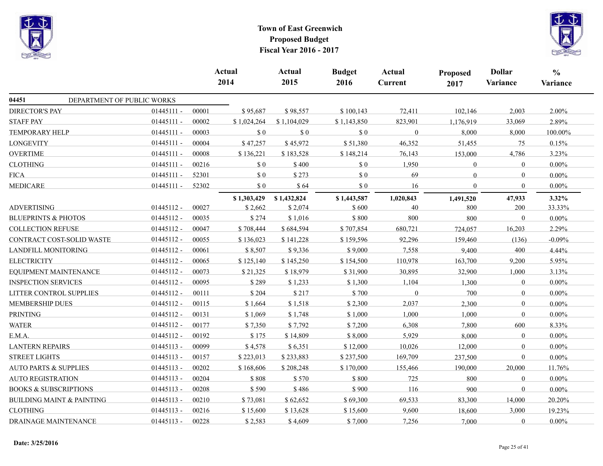



|                                      |                            |       | Actual<br>2014 | Actual<br>2015 | <b>Budget</b><br>2016 | Actual<br>Current | Proposed<br>2017 | <b>Dollar</b><br>Variance | $\frac{0}{0}$<br>Variance |
|--------------------------------------|----------------------------|-------|----------------|----------------|-----------------------|-------------------|------------------|---------------------------|---------------------------|
| 04451                                | DEPARTMENT OF PUBLIC WORKS |       |                |                |                       |                   |                  |                           |                           |
| <b>DIRECTOR'S PAY</b>                | $01445111 -$               | 00001 | \$95,687       | \$98,557       | \$100,143             | 72,411            | 102,146          | 2,003                     | 2.00%                     |
| <b>STAFF PAY</b>                     | $01445111 -$               | 00002 | \$1,024,264    | \$1,104,029    | \$1,143,850           | 823,901           | 1,176,919        | 33,069                    | 2.89%                     |
| <b>TEMPORARY HELP</b>                | $01445111 -$               | 00003 | \$0            | $\$$ 0         | $\$$ 0                | $\overline{0}$    | 8,000            | 8,000                     | 100.00%                   |
| <b>LONGEVITY</b>                     | $01445111 -$               | 00004 | \$47,257       | \$45,972       | \$51,380              | 46,352            | 51,455           | 75                        | 0.15%                     |
| <b>OVERTIME</b>                      | $01445111 -$               | 00008 | \$136,221      | \$183,528      | \$148,214             | 76,143            | 153,000          | 4,786                     | 3.23%                     |
| <b>CLOTHING</b>                      | $01445111 -$               | 00216 | \$0            | \$400          | \$0                   | 1,950             | $\overline{0}$   | $\mathbf{0}$              | $0.00\%$                  |
| <b>FICA</b>                          | $01445111 -$               | 52301 | $\$$ 0         | \$273          | $\$$ 0                | 69                | $\theta$         | $\overline{0}$            | $0.00\%$                  |
| <b>MEDICARE</b>                      | $01445111 -$               | 52302 | \$0            | \$64           | \$0                   | 16                | $\theta$         | $\mathbf{0}$              | $0.00\%$                  |
|                                      |                            |       | \$1,303,429    | \$1,432,824    | \$1,443,587           | 1,020,843         | 1,491,520        | 47,933                    | 3.32%                     |
| <b>ADVERTISING</b>                   | $01445112 -$               | 00027 | \$2,662        | \$2,074        | \$600                 | 40                | 800              | 200                       | 33.33%                    |
| <b>BLUEPRINTS &amp; PHOTOS</b>       | $01445112 -$               | 00035 | \$274          | \$1,016        | \$800                 | 800               | 800              | $\mathbf{0}$              | $0.00\%$                  |
| <b>COLLECTION REFUSE</b>             | 01445112 -                 | 00047 | \$708,444      | \$684,594      | \$707,854             | 680,721           | 724,057          | 16,203                    | 2.29%                     |
| CONTRACT COST-SOLID WASTE            | $01445112 -$               | 00055 | \$136,023      | \$141,228      | \$159,596             | 92,296            | 159,460          | (136)                     | $-0.09%$                  |
| LANDFILL MONITORING                  | 01445112 -                 | 00061 | \$8,507        | \$9,336        | \$9,000               | 7,558             | 9,400            | 400                       | 4.44%                     |
| <b>ELECTRICITY</b>                   | $01445112 -$               | 00065 | \$125,140      | \$145,250      | \$154,500             | 110,978           | 163,700          | 9,200                     | 5.95%                     |
| EQUIPMENT MAINTENANCE                | $01445112 -$               | 00073 | \$21,325       | \$18,979       | \$31,900              | 30,895            | 32,900           | 1,000                     | 3.13%                     |
| <b>INSPECTION SERVICES</b>           | $01445112 -$               | 00095 | \$289          | \$1,233        | \$1,300               | 1,104             | 1,300            | $\overline{0}$            | $0.00\%$                  |
| LITTER CONTROL SUPPLIES              | $01445112 -$               | 00111 | \$204          | \$217          | \$700                 | $\theta$          | 700              | $\mathbf{0}$              | $0.00\%$                  |
| <b>MEMBERSHIP DUES</b>               | 01445112 -                 | 00115 | \$1,664        | \$1,518        | \$2,300               | 2,037             | 2,300            | $\overline{0}$            | $0.00\%$                  |
| <b>PRINTING</b>                      | $01445112 -$               | 00131 | \$1,069        | \$1,748        | \$1,000               | 1,000             | 1,000            | $\mathbf{0}$              | $0.00\%$                  |
| <b>WATER</b>                         | 01445112 -                 | 00177 | \$7,350        | \$7,792        | \$7,200               | 6,308             | 7,800            | 600                       | 8.33%                     |
| E.M.A.                               | $01445112 -$               | 00192 | \$175          | \$14,809       | \$8,000               | 5,929             | 8,000            | $\mathbf{0}$              | 0.00%                     |
| <b>LANTERN REPAIRS</b>               | 01445113 -                 | 00099 | \$4,578        | \$6,351        | \$12,000              | 10,026            | 12,000           | $\mathbf{0}$              | $0.00\%$                  |
| <b>STREET LIGHTS</b>                 | $01445113 -$               | 00157 | \$223,013      | \$233,883      | \$237,500             | 169,709           | 237,500          | $\boldsymbol{0}$          | $0.00\%$                  |
| <b>AUTO PARTS &amp; SUPPLIES</b>     | $01445113 -$               | 00202 | \$168,606      | \$208,248      | \$170,000             | 155,466           | 190,000          | 20,000                    | 11.76%                    |
| <b>AUTO REGISTRATION</b>             | $01445113 -$               | 00204 | \$808          | \$570          | \$800                 | 725               | 800              | $\Omega$                  | $0.00\%$                  |
| <b>BOOKS &amp; SUBSCRIPTIONS</b>     | 01445113 -                 | 00208 | \$590          | \$486          | \$900                 | 116               | 900              | $\boldsymbol{0}$          | $0.00\%$                  |
| <b>BUILDING MAINT &amp; PAINTING</b> | $01445113 -$               | 00210 | \$73,081       | \$62,652       | \$69,300              | 69,533            | 83,300           | 14,000                    | 20.20%                    |
| <b>CLOTHING</b>                      | $01445113 -$               | 00216 | \$15,600       | \$13,628       | \$15,600              | 9,600             | 18,600           | 3,000                     | 19.23%                    |
| DRAINAGE MAINTENANCE                 | $01445113 -$               | 00228 | \$2,583        | \$4,609        | \$7,000               | 7,256             | 7,000            | $\overline{0}$            | 0.00%                     |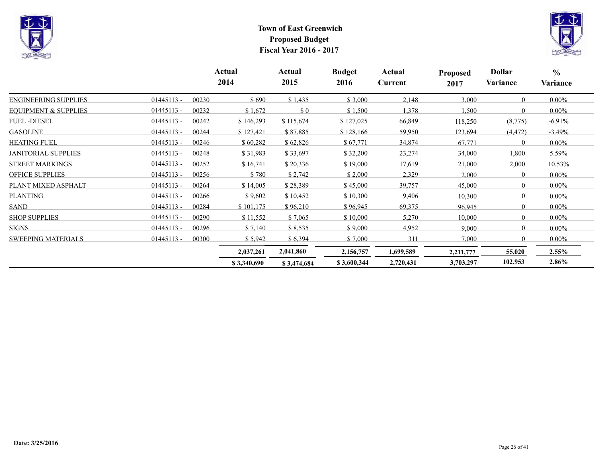



|                                 |              |       | Actual<br>2014 | Actual<br>2015                                   | <b>Budget</b><br>2016 | Actual<br>Current | <b>Proposed</b><br>2017 | <b>Dollar</b><br>Variance | $\frac{6}{6}$<br>Variance |  |
|---------------------------------|--------------|-------|----------------|--------------------------------------------------|-----------------------|-------------------|-------------------------|---------------------------|---------------------------|--|
| <b>ENGINEERING SUPPLIES</b>     | $01445113 -$ | 00230 | \$690          | \$1,435                                          | \$3,000               | 2,148             | 3,000                   | $\theta$                  | $0.00\%$                  |  |
| <b>EQUIPMENT &amp; SUPPLIES</b> | $01445113 -$ | 00232 | \$1,672        | $\boldsymbol{\mathsf{S}}\boldsymbol{\mathsf{0}}$ | \$1,500               | 1,378             | 1,500                   | $\Omega$                  | $0.00\%$                  |  |
| <b>FUEL-DIESEL</b>              | $01445113 -$ | 00242 | \$146,293      | \$115,674                                        | \$127,025             | 66,849            | 118,250                 | (8, 775)                  | $-6.91\%$                 |  |
| <b>GASOLINE</b>                 | $01445113 -$ | 00244 | \$127,421      | \$87,885                                         | \$128,166             | 59,950            | 123,694                 | (4, 472)                  | $-3.49%$                  |  |
| <b>HEATING FUEL</b>             | $01445113 -$ | 00246 | \$60,282       | \$62,826                                         | \$67,771              | 34,874            | 67,771                  | $\theta$                  | $0.00\%$                  |  |
| <b>JANITORIAL SUPPLIES</b>      | $01445113 -$ | 00248 | \$31,983       | \$33,697                                         | \$32,200              | 23,274            | 34,000                  | 1,800                     | 5.59%                     |  |
| <b>STREET MARKINGS</b>          | $01445113 -$ | 00252 | \$16,741       | \$20,336                                         | \$19,000              | 17,619            | 21,000                  | 2,000                     | 10.53%                    |  |
| <b>OFFICE SUPPLIES</b>          | $01445113 -$ | 00256 | \$780          | \$2,742                                          | \$2,000               | 2,329             | 2,000                   | $\theta$                  | $0.00\%$                  |  |
| PLANT MIXED ASPHALT             | $01445113 -$ | 00264 | \$14,005       | \$28,389                                         | \$45,000              | 39,757            | 45,000                  | $\mathbf{0}$              | $0.00\%$                  |  |
| <b>PLANTING</b>                 | $01445113 -$ | 00266 | \$9,602        | \$10,452                                         | \$10,300              | 9,406             | 10,300                  | $\mathbf{0}$              | $0.00\%$                  |  |
| SAND                            | $01445113 -$ | 00284 | \$101,175      | \$96,210                                         | \$96,945              | 69,375            | 96,945                  | $\theta$                  | $0.00\%$                  |  |
| <b>SHOP SUPPLIES</b>            | $01445113 -$ | 00290 | \$11,552       | \$7,065                                          | \$10,000              | 5,270             | 10,000                  | $\theta$                  | $0.00\%$                  |  |
| <b>SIGNS</b>                    | $01445113 -$ | 00296 | \$7,140        | \$8,535                                          | \$9,000               | 4,952             | 9,000                   | $\Omega$                  | $0.00\%$                  |  |
| <b>SWEEPING MATERIALS</b>       | $01445113 -$ | 00300 | \$5,942        | \$6,394                                          | \$7,000               | 311               | 7,000                   | $\boldsymbol{0}$          | $0.00\%$                  |  |
|                                 |              |       | 2,037,261      | 2,041,860                                        | 2,156,757             | 1,699,589         | 2,211,777               | 55,020                    | $2.55\%$                  |  |
|                                 |              |       | \$3,340,690    | \$3,474,684                                      | \$3,600,344           | 2,720,431         | 3,703,297               | 102,953                   | 2.86%                     |  |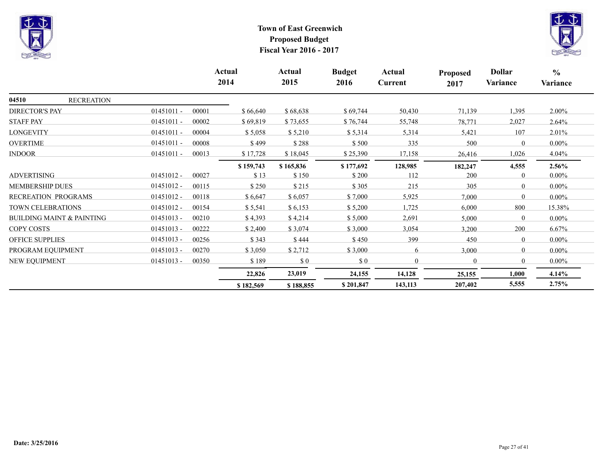



|                        |                                      |              |       | Actual<br>2014 | Actual<br>2015 | <b>Budget</b><br>2016 | Actual<br>Current | <b>Proposed</b><br>2017 | <b>Dollar</b><br>Variance | $\frac{0}{0}$<br>Variance |
|------------------------|--------------------------------------|--------------|-------|----------------|----------------|-----------------------|-------------------|-------------------------|---------------------------|---------------------------|
| 04510                  | <b>RECREATION</b>                    |              |       |                |                |                       |                   |                         |                           |                           |
| <b>DIRECTOR'S PAY</b>  |                                      | $01451011 -$ | 00001 | \$66,640       | \$68,638       | \$69,744              | 50,430            | 71,139                  | 1,395                     | $2.00\%$                  |
| <b>STAFF PAY</b>       |                                      | $01451011 -$ | 00002 | \$69,819       | \$73,655       | \$76,744              | 55,748            | 78,771                  | 2,027                     | 2.64%                     |
| <b>LONGEVITY</b>       |                                      | $01451011 -$ | 00004 | \$5,058        | \$5,210        | \$5,314               | 5,314             | 5,421                   | 107                       | 2.01%                     |
| <b>OVERTIME</b>        |                                      | $01451011 -$ | 00008 | \$499          | \$288          | \$500                 | 335               | 500                     | $\theta$                  | $0.00\%$                  |
| <b>INDOOR</b>          |                                      | $01451011 -$ | 00013 | \$17,728       | \$18,045       | \$25,390              | 17,158            | 26,416                  | 1,026                     | 4.04%                     |
|                        |                                      |              |       | \$159,743      | \$165,836      | \$177,692             | 128,985           | 182,247                 | 4,555                     | $2.56\%$                  |
| <b>ADVERTISING</b>     |                                      | $01451012 -$ | 00027 | \$13           | \$150          | \$200                 | 112               | 200                     | $\theta$                  | $0.00\%$                  |
| <b>MEMBERSHIP DUES</b> |                                      | $01451012 -$ | 00115 | \$250          | \$215          | \$305                 | 215               | 305                     | $\theta$                  | $0.00\%$                  |
| RECREATION PROGRAMS    |                                      | $01451012 -$ | 00118 | \$6,647        | \$6,057        | \$7,000               | 5,925             | 7,000                   | $\Omega$                  | $0.00\%$                  |
| TOWN CELEBRATIONS      |                                      | $01451012 -$ | 00154 | \$5,541        | \$6,153        | \$5,200               | 1,725             | 6,000                   | 800                       | 15.38%                    |
|                        | <b>BUILDING MAINT &amp; PAINTING</b> | $01451013 -$ | 00210 | \$4,393        | \$4,214        | \$5,000               | 2,691             | 5,000                   | $\Omega$                  | $0.00\%$                  |
| COPY COSTS             |                                      | $01451013 -$ | 00222 | \$2,400        | \$3,074        | \$3,000               | 3,054             | 3,200                   | 200                       | 6.67%                     |
| <b>OFFICE SUPPLIES</b> |                                      | $01451013 -$ | 00256 | \$343          | \$444          | \$450                 | 399               | 450                     | $\mathbf{0}$              | $0.00\%$                  |
| PROGRAM EQUIPMENT      |                                      | $01451013 -$ | 00270 | \$3,050        | \$2,712        | \$3,000               | 6                 | 3,000                   | $\theta$                  | $0.00\%$                  |
| NEW EQUIPMENT          |                                      | $01451013 -$ | 00350 | \$189          | \$0            | \$0                   | $\overline{0}$    | $\mathbf{0}$            | $\theta$                  | $0.00\%$                  |
|                        |                                      |              |       | 22,826         | 23,019         | 24,155                | 14,128            | 25,155                  | 1,000                     | 4.14%                     |
|                        |                                      |              |       | \$182,569      | \$188,855      | \$201,847             | 143,113           | 207,402                 | 5,555                     | 2.75%                     |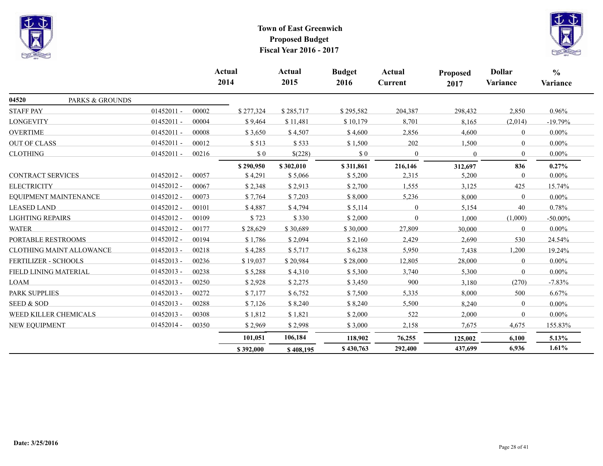



|                             |              |       | <b>Actual</b><br>2014 | <b>Actual</b><br>2015 | <b>Budget</b><br>2016 | Actual<br>Current | <b>Proposed</b><br>2017 | <b>Dollar</b><br>Variance | $\frac{0}{0}$<br>Variance |
|-----------------------------|--------------|-------|-----------------------|-----------------------|-----------------------|-------------------|-------------------------|---------------------------|---------------------------|
| 04520<br>PARKS & GROUNDS    |              |       |                       |                       |                       |                   |                         |                           |                           |
| <b>STAFF PAY</b>            | $01452011 -$ | 00002 | \$277,324             | \$285,717             | \$295,582             | 204,387           | 298,432                 | 2,850                     | 0.96%                     |
| <b>LONGEVITY</b>            | $01452011 -$ | 00004 | \$9,464               | \$11,481              | \$10,179              | 8,701             | 8,165                   | (2,014)                   | $-19.79%$                 |
| <b>OVERTIME</b>             | $01452011 -$ | 00008 | \$3,650               | \$4,507               | \$4,600               | 2,856             | 4,600                   | $\overline{0}$            | $0.00\%$                  |
| <b>OUT OF CLASS</b>         | $01452011 -$ | 00012 | \$513                 | \$533                 | \$1,500               | 202               | 1,500                   | $\theta$                  | $0.00\%$                  |
| <b>CLOTHING</b>             | $01452011 -$ | 00216 | $\$$ 0                | \$(228)               | \$0                   | $\Omega$          | $\Omega$                | $\Omega$                  | $0.00\%$                  |
| <b>CONTRACT SERVICES</b>    | $01452012 -$ | 00057 | \$290,950<br>\$4,291  | \$302,010<br>\$5,066  | \$311,861<br>\$5,200  | 216,146<br>2,315  | 312,697<br>5,200        | 836<br>$\overline{0}$     | 0.27%<br>$0.00\%$         |
| <b>ELECTRICITY</b>          | $01452012 -$ | 00067 | \$2,348               | \$2,913               | \$2,700               | 1,555             | 3,125                   | 425                       | 15.74%                    |
| EQUIPMENT MAINTENANCE       | $01452012 -$ | 00073 | \$7,764               | \$7,203               | \$8,000               | 5,236             | 8,000                   | $\overline{0}$            | $0.00\%$                  |
| <b>LEASED LAND</b>          | $01452012 -$ | 00101 | \$4,887               | \$4,794               | \$5,114               | $\Omega$          | 5,154                   | 40                        | 0.78%                     |
| <b>LIGHTING REPAIRS</b>     | $01452012 -$ | 00109 | \$723                 | \$330                 | \$2,000               | $\Omega$          | 1,000                   | (1,000)                   | $-50.00\%$                |
| <b>WATER</b>                | $01452012 -$ | 00177 | \$28,629              | \$30,689              | \$30,000              | 27,809            | 30,000                  | $\overline{0}$            | $0.00\%$                  |
| PORTABLE RESTROOMS          | $01452012 -$ | 00194 | \$1,786               | \$2,094               | \$2,160               | 2,429             | 2,690                   | 530                       | 24.54%                    |
| CLOTHING MAINT ALLOWANCE    | $01452013 -$ | 00218 | \$4,285               | \$5,717               | \$6,238               | 5,950             | 7,438                   | 1,200                     | 19.24%                    |
| <b>FERTILIZER - SCHOOLS</b> | $01452013 -$ | 00236 | \$19,037              | \$20,984              | \$28,000              | 12,805            | 28,000                  | $\theta$                  | $0.00\%$                  |
| FIELD LINING MATERIAL       | $01452013 -$ | 00238 | \$5,288               | \$4,310               | \$5,300               | 3,740             | 5,300                   | $\Omega$                  | $0.00\%$                  |
| <b>LOAM</b>                 | $01452013 -$ | 00250 | \$2,928               | \$2,275               | \$3,450               | 900               | 3,180                   | (270)                     | $-7.83%$                  |
| PARK SUPPLIES               | $01452013 -$ | 00272 | \$7,177               | \$6,752               | \$7,500               | 5,335             | 8,000                   | 500                       | 6.67%                     |
| <b>SEED &amp; SOD</b>       | $01452013 -$ | 00288 | \$7,126               | \$8,240               | \$8,240               | 5,500             | 8,240                   | $\overline{0}$            | $0.00\%$                  |
| WEED KILLER CHEMICALS       | $01452013 -$ | 00308 | \$1,812               | \$1,821               | \$2,000               | 522               | 2,000                   | $\overline{0}$            | $0.00\%$                  |
| NEW EQUIPMENT               | $01452014 -$ | 00350 | \$2,969               | \$2,998               | \$3,000               | 2,158             | 7,675                   | 4,675                     | 155.83%                   |
|                             |              |       | 101,051               | 106,184               | 118,902               | 76,255            | 125,002                 | 6,100                     | 5.13%                     |
|                             |              |       | \$392,000             | \$408,195             | \$430,763             | 292,400           | 437,699                 | 6,936                     | 1.61%                     |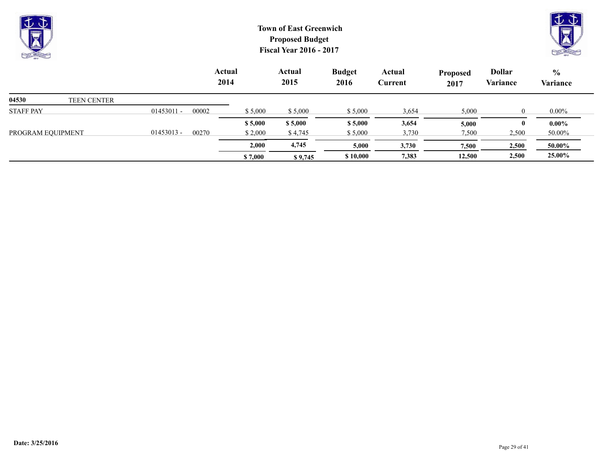



|                   |                    |              |       | <b>Actual</b><br>2014 | Actual<br>2015 | <b>Budget</b><br>2016 | Actual<br>Current | <b>Proposed</b><br>2017 | <b>Dollar</b><br>Variance | $\frac{0}{0}$<br>Variance |
|-------------------|--------------------|--------------|-------|-----------------------|----------------|-----------------------|-------------------|-------------------------|---------------------------|---------------------------|
| 04530             | <b>TEEN CENTER</b> |              |       |                       |                |                       |                   |                         |                           |                           |
| <b>STAFF PAY</b>  |                    | $01453011 -$ | 00002 | \$5,000               | \$5,000        | \$5,000               | 3,654             | 5,000                   |                           | $0.00\%$                  |
|                   |                    |              |       | \$5,000               | \$5,000        | \$5,000               | 3,654             | 5,000                   |                           | $0.00\%$                  |
| PROGRAM EQUIPMENT |                    | $01453013 -$ | 00270 | \$2,000               | \$4,745        | \$5,000               | 3,730             | 7,500                   | 2,500                     | 50.00%                    |
|                   |                    |              |       | 2,000                 | 4,745          | 5,000                 | 3,730             | 7,500                   | 2,500                     | 50.00%                    |
|                   |                    |              |       | \$7,000               | \$9,745        | \$10,000              | 7,383             | 12,500                  | 2,500                     | 25.00%                    |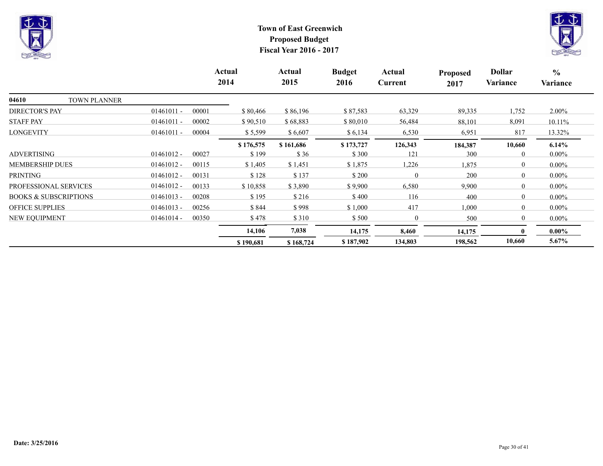



|                                  |              |       | Actual<br>2014 | Actual<br>2015 | <b>Budget</b><br>2016 | Actual<br>Current | <b>Proposed</b><br>2017 | <b>Dollar</b><br>Variance | $\frac{0}{0}$<br>Variance |
|----------------------------------|--------------|-------|----------------|----------------|-----------------------|-------------------|-------------------------|---------------------------|---------------------------|
| 04610<br><b>TOWN PLANNER</b>     |              |       |                |                |                       |                   |                         |                           |                           |
| <b>DIRECTOR'S PAY</b>            | $01461011 -$ | 00001 | \$80,466       | \$86,196       | \$87,583              | 63,329            | 89,335                  | 1,752                     | $2.00\%$                  |
| <b>STAFF PAY</b>                 | $01461011 -$ | 00002 | \$90,510       | \$68,883       | \$80,010              | 56,484            | 88,101                  | 8,091                     | 10.11%                    |
| <b>LONGEVITY</b>                 | $01461011 -$ | 00004 | \$5,599        | \$6,607        | \$6,134               | 6,530             | 6,951                   | 817                       | 13.32%                    |
|                                  |              |       | \$176,575      | \$161,686      | \$173,727             | 126,343           | 184,387                 | 10,660                    | $6.14\%$                  |
| <b>ADVERTISING</b>               | $01461012 -$ | 00027 | \$199          | \$36           | \$300                 | 121               | 300                     | $\theta$                  | $0.00\%$                  |
| <b>MEMBERSHIP DUES</b>           | $01461012 -$ | 00115 | \$1,405        | \$1,451        | \$1,875               | 1,226             | 1,875                   | $\Omega$                  | $0.00\%$                  |
| <b>PRINTING</b>                  | $01461012 -$ | 00131 | \$128          | \$137          | \$200                 |                   | 200                     | $\theta$                  | $0.00\%$                  |
| PROFESSIONAL SERVICES            | $01461012 -$ | 00133 | \$10,858       | \$3,890        | \$9,900               | 6,580             | 9,900                   | $\theta$                  | $0.00\%$                  |
| <b>BOOKS &amp; SUBSCRIPTIONS</b> | $01461013 -$ | 00208 | \$195          | \$216          | \$400                 | 116               | 400                     | $\Omega$                  | $0.00\%$                  |
| <b>OFFICE SUPPLIES</b>           | $01461013 -$ | 00256 | \$844          | \$998          | \$1,000               | 417               | 1,000                   | $\theta$                  | $0.00\%$                  |
| NEW EQUIPMENT                    | $01461014 -$ | 00350 | \$478          | \$ 310         | \$500                 | 0                 | 500                     | $\theta$                  | $0.00\%$                  |
|                                  |              |       | 14,106         | 7,038          | 14,175                | 8,460             | 14,175                  | $\mathbf{0}$              | $0.00\%$                  |
|                                  |              |       | \$190,681      | \$168,724      | \$187,902             | 134,803           | 198,562                 | 10,660                    | 5.67%                     |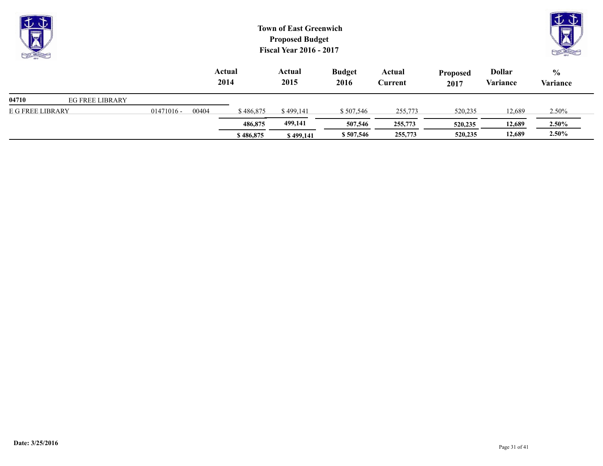| $\overline{\mathbf{y}}$<br><b>CALLER</b> |                        |              |       |                | <b>Town of East Greenwich</b><br><b>Proposed Budget</b><br><b>Fiscal Year 2016 - 2017</b> |                       |                   |                         |                           | $\mathbb{U} \, \mathbb{U}$<br><b>CALL CALLER</b> |  |
|------------------------------------------|------------------------|--------------|-------|----------------|-------------------------------------------------------------------------------------------|-----------------------|-------------------|-------------------------|---------------------------|--------------------------------------------------|--|
|                                          |                        |              |       | Actual<br>2014 | Actual<br>2015                                                                            | <b>Budget</b><br>2016 | Actual<br>Current | <b>Proposed</b><br>2017 | <b>Dollar</b><br>Variance | $\frac{0}{0}$<br>Variance                        |  |
| 04710                                    | <b>EG FREE LIBRARY</b> |              |       |                |                                                                                           |                       |                   |                         |                           |                                                  |  |
| E G FREE LIBRARY                         |                        | $01471016 -$ | 00404 | \$486,875      | \$499,141                                                                                 | \$507,546             | 255,773           | 520,235                 | 12,689                    | 2.50%                                            |  |
|                                          |                        |              |       | 486,875        | 499,141                                                                                   | 507,546               | 255,773           | 520,235                 | 12,689                    | $2.50\%$                                         |  |

**\$ 486,875 \$ 499,141 \$ 507,546 255,773 520,235 12,689 2.50%**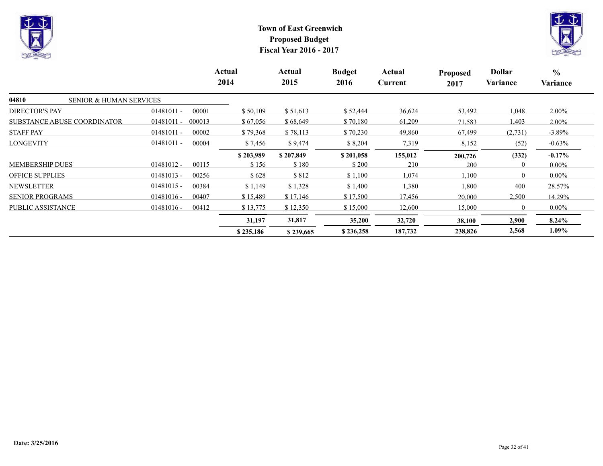



|                                             |                        | Actual<br>2014 | Actual<br>2015 | <b>Budget</b><br>2016 | Actual<br>Current | <b>Proposed</b><br>2017 | <b>Dollar</b><br>Variance | $\frac{6}{6}$<br>Variance |
|---------------------------------------------|------------------------|----------------|----------------|-----------------------|-------------------|-------------------------|---------------------------|---------------------------|
| 04810<br><b>SENIOR &amp; HUMAN SERVICES</b> |                        |                |                |                       |                   |                         |                           |                           |
| <b>DIRECTOR'S PAY</b>                       | $01481011 -$<br>00001  | \$50,109       | \$51,613       | \$52,444              | 36,624            | 53,492                  | 1,048                     | $2.00\%$                  |
| <b>SUBSTANCE ABUSE COORDINATOR</b>          | $01481011 -$<br>000013 | \$67,056       | \$68,649       | \$70,180              | 61,209            | 71,583                  | 1,403                     | $2.00\%$                  |
| <b>STAFF PAY</b>                            | $01481011 -$<br>00002  | \$79,368       | \$78,113       | \$70,230              | 49,860            | 67,499                  | (2,731)                   | $-3.89\%$                 |
| <b>LONGEVITY</b>                            | $01481011 -$<br>00004  | \$7,456        | \$9,474        | \$8,204               | 7,319             | 8,152                   | (52)                      | $-0.63%$                  |
|                                             |                        | \$203,989      | \$207,849      | \$201,058             | 155,012           | 200,726                 | (332)                     | $-0.17\%$                 |
| <b>MEMBERSHIP DUES</b>                      | $01481012 -$<br>00115  | \$156          | \$180          | \$200                 | 210               | 200                     |                           | $0.00\%$                  |
| <b>OFFICE SUPPLIES</b>                      | $01481013 -$<br>00256  | \$628          | \$812          | \$1,100               | 1,074             | 1,100                   | $\overline{0}$            | $0.00\%$                  |
| <b>NEWSLETTER</b>                           | $01481015 -$<br>00384  | \$1,149        | \$1,328        | \$1,400               | 1,380             | 1,800                   | 400                       | 28.57%                    |
| <b>SENIOR PROGRAMS</b>                      | $01481016 -$<br>00407  | \$15,489       | \$17,146       | \$17,500              | 17,456            | 20,000                  | 2,500                     | 14.29%                    |
| PUBLIC ASSISTANCE                           | $01481016 -$<br>00412  | \$13,775       | \$12,350       | \$15,000              | 12,600            | 15,000                  | $\overline{0}$            | $0.00\%$                  |
|                                             |                        | 31,197         | 31,817         | 35,200                | 32,720            | 38,100                  | 2,900                     | $8.24\%$                  |
|                                             |                        | \$235,186      | \$239,665      | \$236,258             | 187,732           | 238,826                 | 2,568                     | $1.09\%$                  |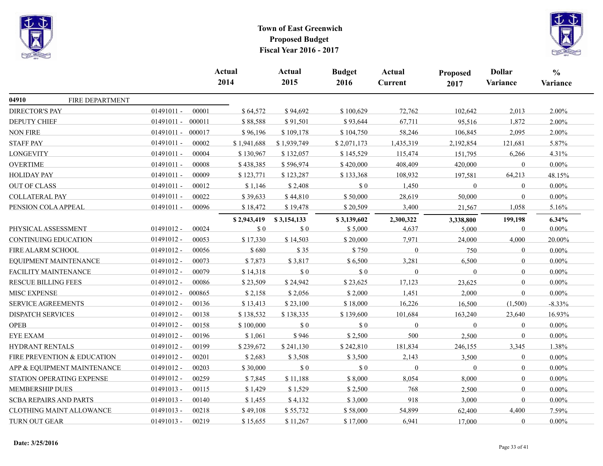



|                               |                             |                        | <b>Actual</b><br>2014       | Actual<br>2015              | <b>Budget</b><br>2016 | <b>Actual</b><br><b>Current</b> | <b>Proposed</b><br>2017 | <b>Dollar</b><br>Variance | $\frac{0}{0}$<br>Variance |
|-------------------------------|-----------------------------|------------------------|-----------------------------|-----------------------------|-----------------------|---------------------------------|-------------------------|---------------------------|---------------------------|
|                               |                             |                        |                             |                             |                       |                                 |                         |                           |                           |
| 04910                         | FIRE DEPARTMENT             |                        |                             |                             |                       |                                 |                         |                           |                           |
| <b>DIRECTOR'S PAY</b>         |                             | $01491011 -$<br>00001  | \$64,572                    | \$94,692                    | \$100,629             | 72,762                          | 102,642                 | 2,013                     | 2.00%                     |
| <b>DEPUTY CHIEF</b>           |                             | $01491011 -$<br>000011 | \$88,588                    | \$91,501                    | \$93,644              | 67,711                          | 95,516                  | 1,872                     | 2.00%                     |
| <b>NON FIRE</b>               |                             | $01491011 -$<br>000017 | \$96,196                    | \$109,178                   | \$104,750             | 58,246                          | 106,845                 | 2,095                     | 2.00%                     |
| <b>STAFF PAY</b>              |                             | $01491011 -$<br>00002  | \$1,941,688                 | \$1,939,749                 | \$2,071,173           | 1,435,319                       | 2,192,854               | 121,681                   | 5.87%                     |
| <b>LONGEVITY</b>              |                             | $01491011 -$<br>00004  | \$130,967                   | \$132,057                   | \$145,529             | 115,474                         | 151,795                 | 6,266                     | 4.31%                     |
| <b>OVERTIME</b>               |                             | $01491011 -$<br>00008  | \$438,385                   | \$596,974                   | \$420,000             | 408,409                         | 420,000                 | $\mathbf{0}$              | $0.00\%$                  |
| <b>HOLIDAY PAY</b>            |                             | $01491011 -$<br>00009  | \$123,771                   | \$123,287                   | \$133,368             | 108,932                         | 197,581                 | 64,213                    | 48.15%                    |
| <b>OUT OF CLASS</b>           |                             | 01491011 -<br>00012    | \$1,146                     | \$2,408                     | $\$$ 0                | 1,450                           | $\mathbf{0}$            | $\mathbf{0}$              | $0.00\%$                  |
| <b>COLLATERAL PAY</b>         |                             | $01491011 -$<br>00022  | \$39,633                    | \$44,810                    | \$50,000              | 28,619                          | 50,000                  | $\overline{0}$            | $0.00\%$                  |
| PENSION COLA APPEAL           |                             | $01491011 -$<br>00096  | \$18,472                    | \$19,478                    | \$20,509              | 3,400                           | 21,567                  | 1,058                     | 5.16%                     |
|                               |                             |                        | \$2,943,419                 | \$3,154,133                 | \$3,139,602           | 2,300,322                       | 3,338,800               | 199,198                   | 6.34%                     |
| PHYSICAL ASSESSMENT           |                             | 01491012 -<br>00024    | $\boldsymbol{\mathsf{S}}$ 0 | \$0                         | \$5,000               | 4,637                           | 5,000                   | $\mathbf{0}$              | $0.00\%$                  |
| <b>CONTINUING EDUCATION</b>   |                             | $01491012 -$<br>00053  | \$17,330                    | \$14,503                    | \$20,000              | 7,971                           | 24,000                  | 4,000                     | 20.00%                    |
| FIRE ALARM SCHOOL             |                             | $01491012 -$<br>00056  | \$680                       | \$35                        | \$750                 | $\overline{0}$                  | 750                     | $\mathbf{0}$              | $0.00\%$                  |
|                               | EQUIPMENT MAINTENANCE       | $01491012 -$<br>00073  | \$7,873                     | \$3,817                     | \$6,500               | 3,281                           | 6,500                   | $\overline{0}$            | $0.00\%$                  |
| FACILITY MAINTENANCE          |                             | 01491012 -<br>00079    | \$14,318                    | \$0                         | $\$$ 0                | $\Omega$                        | $\theta$                | $\mathbf{0}$              | $0.00\%$                  |
| <b>RESCUE BILLING FEES</b>    |                             | $01491012 -$<br>00086  | \$23,509                    | \$24,942                    | \$23,625              | 17,123                          | 23,625                  | $\theta$                  | $0.00\%$                  |
| MISC EXPENSE                  |                             | $01491012 -$<br>000865 | \$2,158                     | \$2,056                     | \$2,000               | 1,451                           | 2,000                   | $\overline{0}$            | $0.00\%$                  |
| <b>SERVICE AGREEMENTS</b>     |                             | 01491012 -<br>00136    | \$13,413                    | \$23,100                    | \$18,000              | 16,226                          | 16,500                  | (1,500)                   | $-8.33%$                  |
| <b>DISPATCH SERVICES</b>      |                             | $01491012 -$<br>00138  | \$138,532                   | \$138,335                   | \$139,600             | 101,684                         | 163,240                 | 23,640                    | 16.93%                    |
| <b>OPEB</b>                   |                             | 01491012 -<br>00158    | \$100,000                   | $\boldsymbol{\mathsf{S}}$ 0 | \$0                   | $\theta$                        | $\boldsymbol{0}$        | $\mathbf{0}$              | $0.00\%$                  |
| <b>EYE EXAM</b>               |                             | $01491012 -$<br>00196  | \$1,061                     | \$946                       | \$2,500               | 500                             | 2,500                   | $\theta$                  | $0.00\%$                  |
| <b>HYDRANT RENTALS</b>        |                             | 01491012 -<br>00199    | \$239,672                   | \$241,130                   | \$242,810             | 181,834                         | 246,155                 | 3,345                     | 1.38%                     |
|                               | FIRE PREVENTION & EDUCATION | 01491012 -<br>00201    | \$2,683                     | \$3,508                     | \$3,500               | 2,143                           | 3,500                   | $\mathbf{0}$              | $0.00\%$                  |
|                               | APP & EQUIPMENT MAINTENANCE | 01491012 -<br>00203    | \$30,000                    | \$0                         | $\$$ 0                | $\Omega$                        | $\mathbf{0}$            | $\mathbf{0}$              | $0.00\%$                  |
|                               | STATION OPERATING EXPENSE   | $01491012 -$<br>00259  | \$7,845                     | \$11,188                    | \$8,000               | 8,054                           | 8,000                   | $\overline{0}$            | $0.00\%$                  |
| <b>MEMBERSHIP DUES</b>        |                             | 01491013 -<br>00115    | \$1,429                     | \$1,529                     | \$2,500               | 768                             | 2,500                   | $\overline{0}$            | $0.00\%$                  |
| <b>SCBA REPAIRS AND PARTS</b> |                             | 01491013 -<br>00140    | \$1,455                     | \$4,132                     | \$3,000               | 918                             | 3,000                   | $\mathbf{0}$              | $0.00\%$                  |
|                               | CLOTHING MAINT ALLOWANCE    | 01491013 -<br>00218    | \$49,108                    | \$55,732                    | \$58,000              | 54,899                          | 62,400                  | 4,400                     | 7.59%                     |
| TURN OUT GEAR                 |                             | $01491013 -$<br>00219  | \$15,655                    | \$11,267                    | \$17,000              | 6,941                           | 17,000                  | $\mathbf{0}$              | $0.00\%$                  |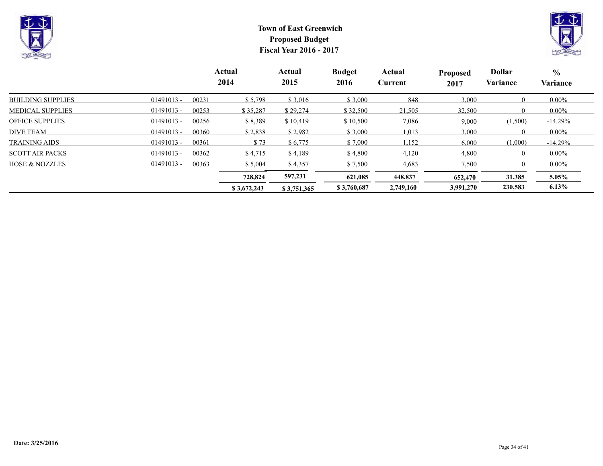



|                           |              |       | Actual<br>2014 | Actual<br>2015 | <b>Budget</b><br>2016 | Actual<br>Current | <b>Proposed</b><br>2017 | <b>Dollar</b><br>Variance | $\frac{6}{6}$<br>Variance |
|---------------------------|--------------|-------|----------------|----------------|-----------------------|-------------------|-------------------------|---------------------------|---------------------------|
| <b>BUILDING SUPPLIES</b>  | $01491013 -$ | 00231 | \$5,798        | \$3,016        | \$3,000               | 848               | 3,000                   | $\overline{0}$            | $0.00\%$                  |
| <b>MEDICAL SUPPLIES</b>   | $01491013 -$ | 00253 | \$35,287       | \$29,274       | \$32,500              | 21,505            | 32,500                  | $\theta$                  | $0.00\%$                  |
| <b>OFFICE SUPPLIES</b>    | $01491013 -$ | 00256 | \$8,389        | \$10,419       | \$10,500              | 7,086             | 9,000                   | (1,500)                   | $-14.29%$                 |
| <b>DIVE TEAM</b>          | $01491013 -$ | 00360 | \$2,838        | \$2,982        | \$3,000               | 1,013             | 3,000                   | $\theta$                  | $0.00\%$                  |
| <b>TRAINING AIDS</b>      | $01491013 -$ | 00361 | \$73           | \$6,775        | \$7,000               | 1,152             | 6,000                   | (1,000)                   | $-14.29%$                 |
| <b>SCOTT AIR PACKS</b>    | $01491013 -$ | 00362 | \$4,715        | \$4,189        | \$4,800               | 4,120             | 4,800                   | $\theta$                  | $0.00\%$                  |
| <b>HOSE &amp; NOZZLES</b> | $01491013 -$ | 00363 | \$5,004        | \$4,357        | \$7,500               | 4,683             | 7,500                   | $\theta$                  | $0.00\%$                  |
|                           |              |       | 728,824        | 597,231        | 621,085               | 448,837           | 652,470                 | 31,385                    | $5.05\%$                  |
|                           |              |       | \$3,672,243    | \$3,751,365    | \$3,760,687           | 2,749,160         | 3,991,270               | 230,583                   | 6.13%                     |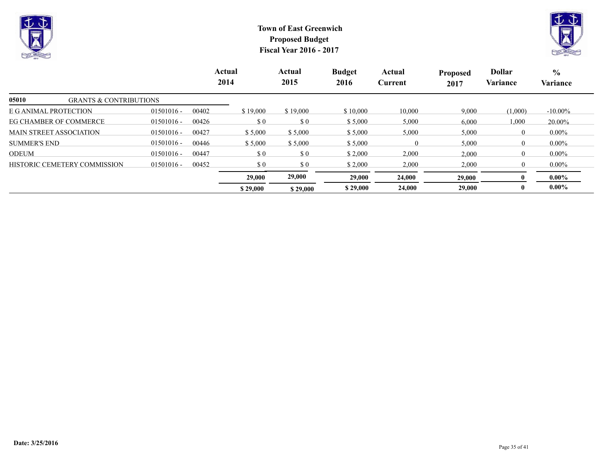



|                                            |              | Actual<br>2014 |                             | Actual<br>2015              | <b>Budget</b><br>2016 | Actual<br>Current | <b>Proposed</b><br>2017 | <b>Dollar</b><br>Variance | $\frac{0}{0}$<br>Variance |
|--------------------------------------------|--------------|----------------|-----------------------------|-----------------------------|-----------------------|-------------------|-------------------------|---------------------------|---------------------------|
| 05010<br><b>GRANTS &amp; CONTRIBUTIONS</b> |              |                |                             |                             |                       |                   |                         |                           |                           |
| E G ANIMAL PROTECTION                      | $01501016 -$ | 00402          | \$19,000                    | \$19,000                    | \$10,000              | 10,000            | 9,000                   | (1,000)                   | $-10.00\%$                |
| EG CHAMBER OF COMMERCE                     | $01501016 -$ | 00426          | \$0                         | $\sqrt{3}0$                 | \$5,000               | 5,000             | 6,000                   | 1,000                     | 20.00%                    |
| <b>MAIN STREET ASSOCIATION</b>             | $01501016 -$ | 00427          | \$5,000                     | \$5,000                     | \$5,000               | 5,000             | 5,000                   | $\overline{0}$            | $0.00\%$                  |
| <b>SUMMER'S END</b>                        | $01501016 -$ | 00446          | \$5,000                     | \$5,000                     | \$5,000               | 0                 | 5,000                   | $\overline{0}$            | $0.00\%$                  |
| <b>ODEUM</b>                               | $01501016 -$ | 00447          | $\boldsymbol{\mathsf{S}}$ 0 | $\boldsymbol{\mathsf{S}}$ 0 | \$2,000               | 2,000             | 2,000                   | $\overline{0}$            | $0.00\%$                  |
| HISTORIC CEMETERY COMMISSION               | $01501016 -$ | 00452          | \$0                         | \$0                         | \$2,000               | 2,000             | 2,000                   | $\theta$                  | $0.00\%$                  |
|                                            |              |                | 29,000                      | 29,000                      | 29,000                | 24,000            | 29,000                  |                           | $0.00\%$                  |
|                                            |              |                | \$29,000                    | \$29,000                    | \$29,000              | 24,000            | 29,000                  | $\bf{0}$                  | $0.00\%$                  |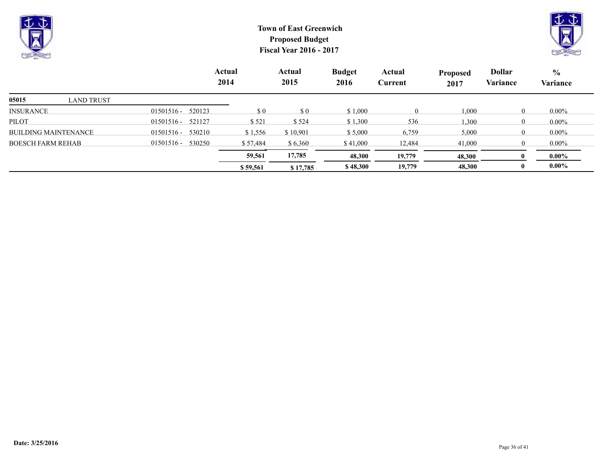



|                             |                        | Actual<br>2014 | Actual<br>2015 | <b>Budget</b><br>2016 | Actual<br>Current | <b>Proposed</b><br>2017 | <b>Dollar</b><br>Variance | $\frac{6}{10}$<br><b>Variance</b> |
|-----------------------------|------------------------|----------------|----------------|-----------------------|-------------------|-------------------------|---------------------------|-----------------------------------|
| 05015<br>LAND TRUST         |                        |                |                |                       |                   |                         |                           |                                   |
| <b>INSURANCE</b>            | 520123<br>$01501516 -$ | \$0            | $\sqrt{3}0$    | \$1,000               | $\theta$          | 1,000                   | $\theta$                  | $0.00\%$                          |
| <b>PILOT</b>                | 521127<br>$01501516 -$ | \$521          | \$524          | \$1,300               | 536               | 1,300                   | $\theta$                  | $0.00\%$                          |
| <b>BUILDING MAINTENANCE</b> | 530210<br>$01501516 -$ | \$1,556        | \$10,901       | \$5,000               | 6,759             | 5,000                   | $\theta$                  | $0.00\%$                          |
| <b>BOESCH FARM REHAB</b>    | 01501516 -<br>530250   | \$57,484       | \$6,360        | \$41,000              | 12,484            | 41,000                  |                           | $0.00\%$                          |
|                             |                        | 59,561         | 17,785         | 48,300                | 19,779            | 48,300                  |                           | $0.00\%$                          |
|                             |                        | \$59,561       | \$17,785       | \$48,300              | 19,779            | 48,300                  |                           | $0.00\%$                          |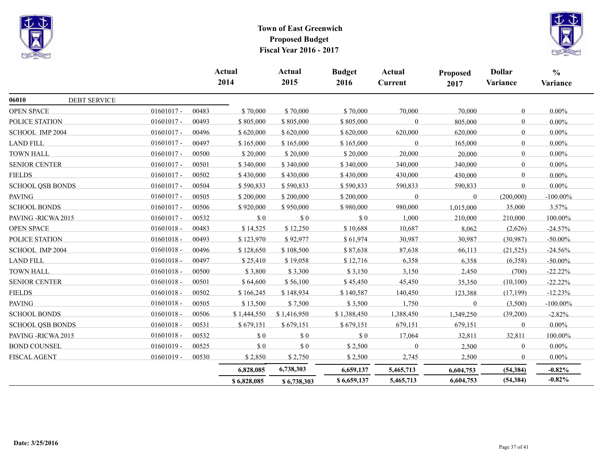



|                              |              |       | Actual<br>2014              | Actual<br>2015              | <b>Budget</b><br>2016 | Actual<br><b>Current</b> | Proposed<br>2017 | <b>Dollar</b><br><b>Variance</b> | $\frac{6}{6}$<br>Variance |
|------------------------------|--------------|-------|-----------------------------|-----------------------------|-----------------------|--------------------------|------------------|----------------------------------|---------------------------|
| 06010<br><b>DEBT SERVICE</b> |              |       |                             |                             |                       |                          |                  |                                  |                           |
| <b>OPEN SPACE</b>            | $01601017 -$ | 00483 | \$70,000                    | \$70,000                    | \$70,000              | 70,000                   | 70,000           | $\theta$                         | $0.00\%$                  |
| POLICE STATION               | $01601017 -$ | 00493 | \$805,000                   | \$805,000                   | \$805,000             |                          | 805,000          | $\theta$                         | $0.00\%$                  |
| SCHOOL IMP 2004              | $01601017 -$ | 00496 | \$620,000                   | \$620,000                   | \$620,000             | 620,000                  | 620,000          | $\theta$                         | $0.00\%$                  |
| LAND FILL                    | $01601017 -$ | 00497 | \$165,000                   | \$165,000                   | \$165,000             | $\Omega$                 | 165,000          | $\Omega$                         | $0.00\%$                  |
| <b>TOWN HALL</b>             | $01601017 -$ | 00500 | \$20,000                    | \$20,000                    | \$20,000              | 20,000                   | 20,000           | $\overline{0}$                   | $0.00\%$                  |
| <b>SENIOR CENTER</b>         | $01601017 -$ | 00501 | \$340,000                   | \$340,000                   | \$340,000             | 340,000                  | 340,000          | $\overline{0}$                   | $0.00\%$                  |
| <b>FIELDS</b>                | $01601017 -$ | 00502 | \$430,000                   | \$430,000                   | \$430,000             | 430,000                  | 430,000          | $\theta$                         | $0.00\%$                  |
| <b>SCHOOL QSB BONDS</b>      | $01601017 -$ | 00504 | \$590,833                   | \$590,833                   | \$590,833             | 590,833                  | 590,833          | $\theta$                         | $0.00\%$                  |
| <b>PAVING</b>                | $01601017 -$ | 00505 | \$200,000                   | \$200,000                   | \$200,000             | $\theta$                 | $\mathbf{0}$     | (200,000)                        | $-100.00\%$               |
| <b>SCHOOL BONDS</b>          | $01601017 -$ | 00506 | \$920,000                   | \$950,000                   | \$980,000             | 980,000                  | 1,015,000        | 35,000                           | 3.57%                     |
| PAVING - RICWA 2015          | $01601017 -$ | 00532 | $\boldsymbol{\mathsf{S}}$ 0 | $\boldsymbol{\mathsf{S}}$ 0 | $\sqrt{3}0$           | 1,000                    | 210,000          | 210,000                          | 100.00%                   |
| <b>OPEN SPACE</b>            | $01601018 -$ | 00483 | \$14,525                    | \$12,250                    | \$10,688              | 10,687                   | 8,062            | (2,626)                          | $-24.57%$                 |
| POLICE STATION               | $01601018 -$ | 00493 | \$123,970                   | \$92,977                    | \$61,974              | 30,987                   | 30,987           | (30,987)                         | $-50.00\%$                |
| SCHOOL IMP 2004              | $01601018 -$ | 00496 | \$128,650                   | \$108,500                   | \$87,638              | 87,638                   | 66,113           | (21, 525)                        | $-24.56%$                 |
| <b>LAND FILL</b>             | $01601018 -$ | 00497 | \$25,410                    | \$19,058                    | \$12,716              | 6,358                    | 6,358            | (6,358)                          | $-50.00\%$                |
| <b>TOWN HALL</b>             | $01601018 -$ | 00500 | \$3,800                     | \$3,300                     | \$3,150               | 3,150                    | 2,450            | (700)                            | $-22.22%$                 |
| <b>SENIOR CENTER</b>         | $01601018 -$ | 00501 | \$64,600                    | \$56,100                    | \$45,450              | 45,450                   | 35,350           | (10,100)                         | $-22.22%$                 |
| <b>FIELDS</b>                | $01601018 -$ | 00502 | \$166,245                   | \$148,934                   | \$140,587             | 140,450                  | 123,388          | (17, 199)                        | $-12.23%$                 |
| <b>PAVING</b>                | $01601018 -$ | 00505 | \$13,500                    | \$7,500                     | \$3,500               | 1,750                    | $\boldsymbol{0}$ | (3,500)                          | $-100.00\%$               |
| <b>SCHOOL BONDS</b>          | $01601018 -$ | 00506 | \$1,444,550                 | \$1,416,950                 | \$1,388,450           | 1,388,450                | 1,349,250        | (39,200)                         | $-2.82%$                  |
| <b>SCHOOL QSB BONDS</b>      | $01601018 -$ | 00531 | \$679,151                   | \$679,151                   | \$679,151             | 679,151                  | 679,151          | $\theta$                         | $0.00\%$                  |
| PAVING - RICWA 2015          | $01601018 -$ | 00532 | \$0                         | \$0                         | \$0                   | 17,064                   | 32,811           | 32,811                           | 100.00%                   |
| <b>BOND COUNSEL</b>          | $01601019 -$ | 00525 | \$0                         | \$0                         | \$2,500               | $\theta$                 | 2,500            | $\mathbf{0}$                     | $0.00\%$                  |
| <b>FISCAL AGENT</b>          | $01601019 -$ | 00530 | \$2,850                     | \$2,750                     | \$2,500               | 2,745                    | 2,500            | $\mathbf{0}$                     | $0.00\%$                  |
|                              |              |       | 6,828,085                   | 6,738,303                   | 6,659,137             | 5,465,713                | 6,604,753        | (54, 384)                        | $-0.82%$                  |
|                              |              |       | \$6,828,085                 | \$6,738,303                 | \$6,659,137           | 5,465,713                | 6,604,753        | (54, 384)                        | $-0.82%$                  |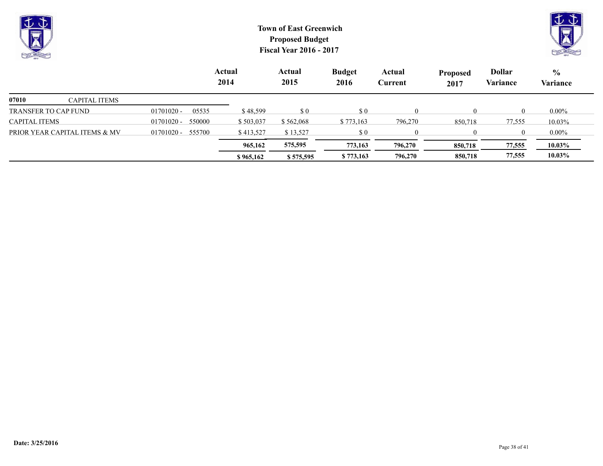| ∣⊽<br>$\sim$<br><b>No.</b><br><b>CAN CREEK</b> |                      | <b>Town of East Greenwich</b><br><b>Proposed Budget</b><br><b>Fiscal Year 2016 - 2017</b> |                |                                                  |                                                  |                   |                         |                           |                           |  |  |
|------------------------------------------------|----------------------|-------------------------------------------------------------------------------------------|----------------|--------------------------------------------------|--------------------------------------------------|-------------------|-------------------------|---------------------------|---------------------------|--|--|
|                                                |                      |                                                                                           | Actual<br>2014 | Actual<br>2015                                   | <b>Budget</b><br>2016                            | Actual<br>Current | <b>Proposed</b><br>2017 | <b>Dollar</b><br>Variance | $\frac{6}{6}$<br>Variance |  |  |
| 07010                                          | <b>CAPITAL ITEMS</b> |                                                                                           |                |                                                  |                                                  |                   |                         |                           |                           |  |  |
| TRANSFER TO CAP FUND                           |                      | 05535<br>$01701020 -$                                                                     | \$48,599       | $\boldsymbol{\mathsf{S}}\boldsymbol{\mathsf{0}}$ | $\boldsymbol{\mathsf{S}}\boldsymbol{\mathsf{0}}$ | $\Omega$          | $\Omega$                | $\Omega$                  | $0.00\%$                  |  |  |
| <b>CAPITAL ITEMS</b>                           |                      | 550000<br>01701020 -                                                                      | \$503,037      | \$562,068                                        | \$773,163                                        | 796,270           | 850,718                 | 77,555                    | 10.03%                    |  |  |

**\$ 965,162 \$ 575,595 \$ 773,163 796,270 850,718 77,555 10.03% 965,162 575,595 773,163 796,270 850,718 77,555 10.03%**

PRIOR YEAR CAPITAL ITEMS & MV  $01701020 - 555700$  \$413,527 \$13,527 \$ 0 0 0 0 0 0.00%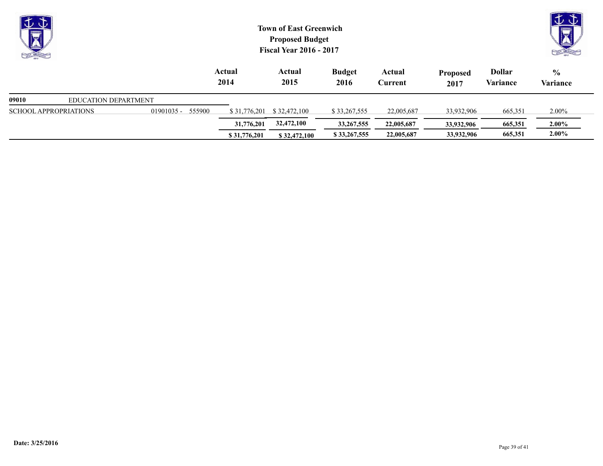| $\downarrow \downarrow$<br><b>POINT LATER</b> |                             |              |        | <b>Town of East Greenwich</b><br><b>Proposed Budget</b><br><b>Fiscal Year 2016 - 2017</b> |                | はむ                    |                   |                         |                           |                           |
|-----------------------------------------------|-----------------------------|--------------|--------|-------------------------------------------------------------------------------------------|----------------|-----------------------|-------------------|-------------------------|---------------------------|---------------------------|
|                                               |                             |              |        | Actual<br>2014                                                                            | Actual<br>2015 | <b>Budget</b><br>2016 | Actual<br>Current | <b>Proposed</b><br>2017 | <b>Dollar</b><br>Variance | $\frac{6}{9}$<br>Variance |
| 09010                                         | <b>EDUCATION DEPARTMENT</b> |              |        |                                                                                           |                |                       |                   |                         |                           |                           |
| <b>SCHOOL APPROPRIATIONS</b>                  |                             | $01901035 -$ | 555900 | \$31,776,201                                                                              | \$32,472,100   | \$33,267,555          | 22,005,687        | 33,932,906              | 665,351                   | $2.00\%$                  |
|                                               |                             |              |        | 31,776,201                                                                                | 32,472,100     | 33, 267, 555          | 22,005,687        | 33,932,906              | 665,351                   | $2.00\%$                  |

**\$31,776,201 \$32,472,100 \$33,267,555** 22,005,687 33,932,906 665,351 2.00%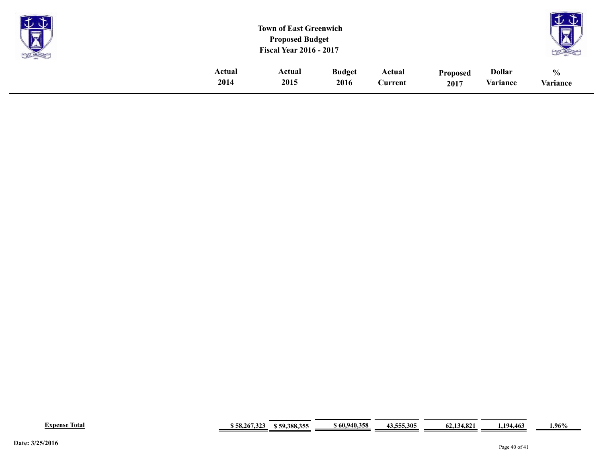| <b>Property</b><br>X |        | <b>Town of East Greenwich</b><br><b>Proposed Budget</b><br><b>Fiscal Year 2016 - 2017</b> |               |         |                 |               |               |  |  |
|----------------------|--------|-------------------------------------------------------------------------------------------|---------------|---------|-----------------|---------------|---------------|--|--|
|                      | Actual | Actual                                                                                    | <b>Budget</b> | Actual  | <b>Proposed</b> | <b>Dollar</b> | $\frac{0}{0}$ |  |  |
|                      | 2014   | 2015                                                                                      | 2016          | Current | 2017            | Variance      | Variance      |  |  |

| m<br>Total<br>Expense | 267.323<br>: 58.267.325 | J 200 25F<br>50<br>$-300.35$<br>. | \$ 60,940,358 | $\mathbf{A} \bullet \mathbf{B} \bullet \mathbf{B} \bullet \mathbf{A} \bullet \mathbf{B}$<br>5.305<br>.<br>43 | $\Omega$<br>04.134.84 | 104<br>4.463 | .96% |
|-----------------------|-------------------------|-----------------------------------|---------------|--------------------------------------------------------------------------------------------------------------|-----------------------|--------------|------|
|-----------------------|-------------------------|-----------------------------------|---------------|--------------------------------------------------------------------------------------------------------------|-----------------------|--------------|------|

**Contract Contract** 

÷.